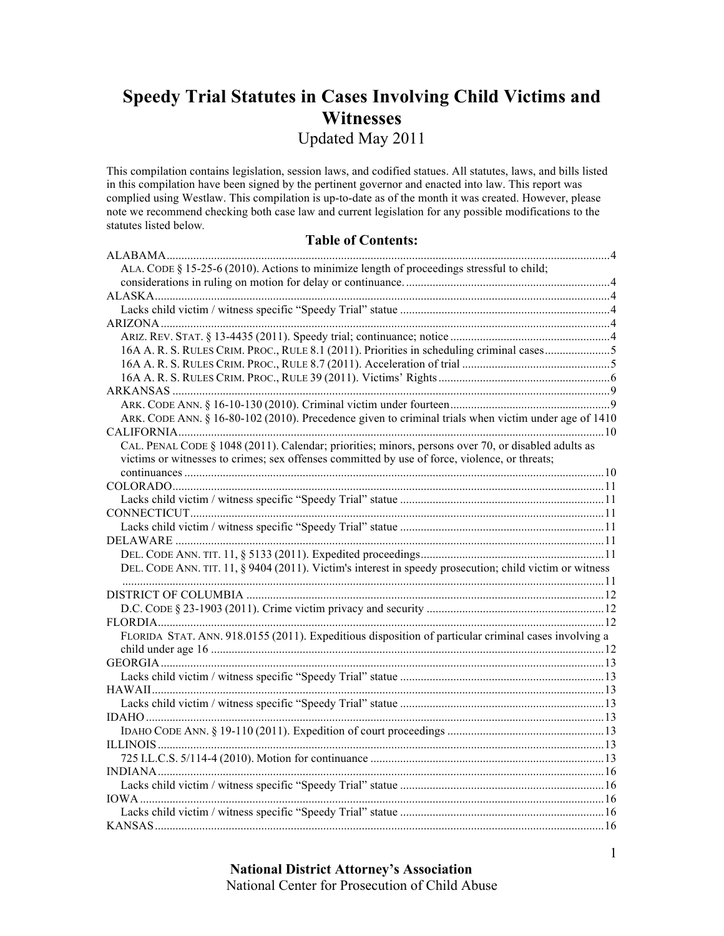# **Speedy Trial Statutes in Cases Involving Child Victims and Witnesses**

Updated May 2011

This compilation contains legislation, session laws, and codified statues. All statutes, laws, and bills listed in this compilation have been signed by the pertinent governor and enacted into law. This report was complied using Westlaw. This compilation is up-to-date as of the month it was created. However, please note we recommend checking both case law and current legislation for any possible modifications to the statutes listed below*.*

#### **Table of Contents:**

| ALA. CODE § 15-25-6 (2010). Actions to minimize length of proceedings stressful to child;               |  |
|---------------------------------------------------------------------------------------------------------|--|
|                                                                                                         |  |
|                                                                                                         |  |
|                                                                                                         |  |
|                                                                                                         |  |
|                                                                                                         |  |
| 16A A. R. S. RULES CRIM. PROC., RULE 8.1 (2011). Priorities in scheduling criminal cases5               |  |
|                                                                                                         |  |
|                                                                                                         |  |
|                                                                                                         |  |
|                                                                                                         |  |
| ARK. CODE ANN. § 16-80-102 (2010). Precedence given to criminal trials when victim under age of 1410    |  |
|                                                                                                         |  |
| CAL. PENAL CODE § 1048 (2011). Calendar; priorities; minors, persons over 70, or disabled adults as     |  |
| victims or witnesses to crimes; sex offenses committed by use of force, violence, or threats;           |  |
|                                                                                                         |  |
|                                                                                                         |  |
|                                                                                                         |  |
|                                                                                                         |  |
|                                                                                                         |  |
|                                                                                                         |  |
|                                                                                                         |  |
| DEL. CODE ANN. TIT. 11, § 9404 (2011). Victim's interest in speedy prosecution; child victim or witness |  |
|                                                                                                         |  |
|                                                                                                         |  |
|                                                                                                         |  |
|                                                                                                         |  |
| FLORIDA STAT. ANN. 918.0155 (2011). Expeditious disposition of particular criminal cases involving a    |  |
|                                                                                                         |  |
|                                                                                                         |  |
|                                                                                                         |  |
|                                                                                                         |  |
|                                                                                                         |  |
|                                                                                                         |  |
|                                                                                                         |  |
|                                                                                                         |  |
|                                                                                                         |  |
|                                                                                                         |  |
|                                                                                                         |  |
|                                                                                                         |  |
|                                                                                                         |  |
| KANSAS.                                                                                                 |  |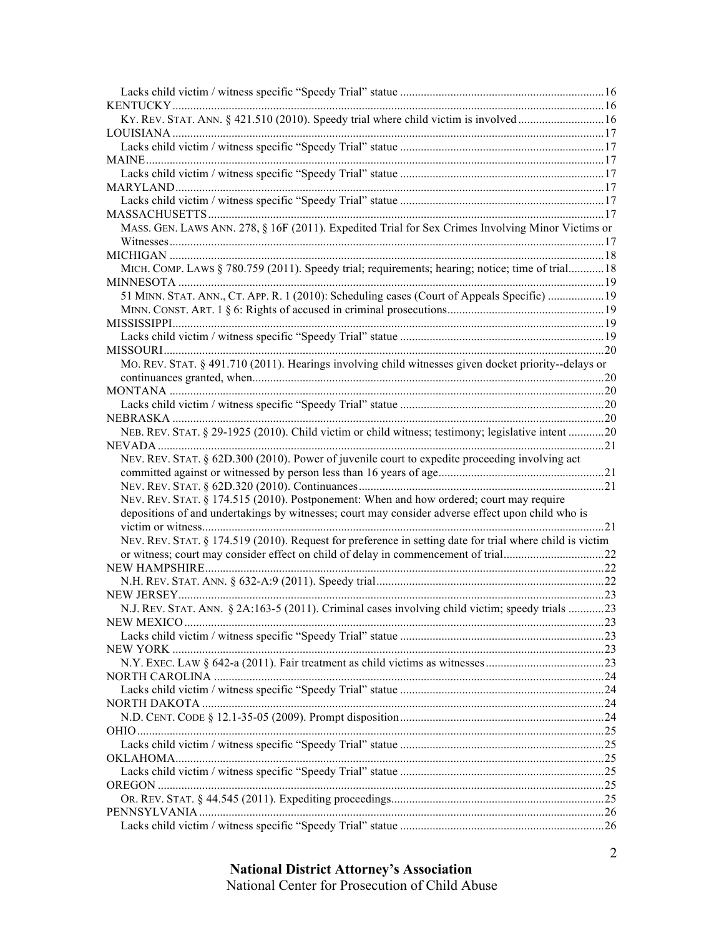| KY. REV. STAT. ANN. § 421.510 (2010). Speedy trial where child victim is involved16                      |  |
|----------------------------------------------------------------------------------------------------------|--|
|                                                                                                          |  |
|                                                                                                          |  |
|                                                                                                          |  |
|                                                                                                          |  |
|                                                                                                          |  |
|                                                                                                          |  |
|                                                                                                          |  |
| MASS. GEN. LAWS ANN. 278, § 16F (2011). Expedited Trial for Sex Crimes Involving Minor Victims or        |  |
|                                                                                                          |  |
|                                                                                                          |  |
| MICH. COMP. LAWS § 780.759 (2011). Speedy trial; requirements; hearing; notice; time of trial18          |  |
|                                                                                                          |  |
| 51 MINN. STAT. ANN., CT. APP. R. 1 (2010): Scheduling cases (Court of Appeals Specific)  19              |  |
|                                                                                                          |  |
|                                                                                                          |  |
|                                                                                                          |  |
|                                                                                                          |  |
| MO. REV. STAT. § 491.710 (2011). Hearings involving child witnesses given docket priority--delays or     |  |
|                                                                                                          |  |
|                                                                                                          |  |
|                                                                                                          |  |
|                                                                                                          |  |
| NEB. REV. STAT. § 29-1925 (2010). Child victim or child witness; testimony; legislative intent 20        |  |
|                                                                                                          |  |
| NEV. REV. STAT. § 62D.300 (2010). Power of juvenile court to expedite proceeding involving act           |  |
|                                                                                                          |  |
|                                                                                                          |  |
| NEV. REV. STAT. § 174.515 (2010). Postponement: When and how ordered; court may require                  |  |
| depositions of and undertakings by witnesses; court may consider adverse effect upon child who is        |  |
|                                                                                                          |  |
| NEV. REV. STAT. § 174.519 (2010). Request for preference in setting date for trial where child is victim |  |
|                                                                                                          |  |
|                                                                                                          |  |
|                                                                                                          |  |
| N.J. REV. STAT. ANN. § 2A:163-5 (2011). Criminal cases involving child victim; speedy trials 23          |  |
|                                                                                                          |  |
|                                                                                                          |  |
|                                                                                                          |  |
|                                                                                                          |  |
|                                                                                                          |  |
|                                                                                                          |  |
|                                                                                                          |  |
|                                                                                                          |  |
|                                                                                                          |  |
|                                                                                                          |  |
| OKLAHOMA.                                                                                                |  |
|                                                                                                          |  |
|                                                                                                          |  |
|                                                                                                          |  |
|                                                                                                          |  |
|                                                                                                          |  |
|                                                                                                          |  |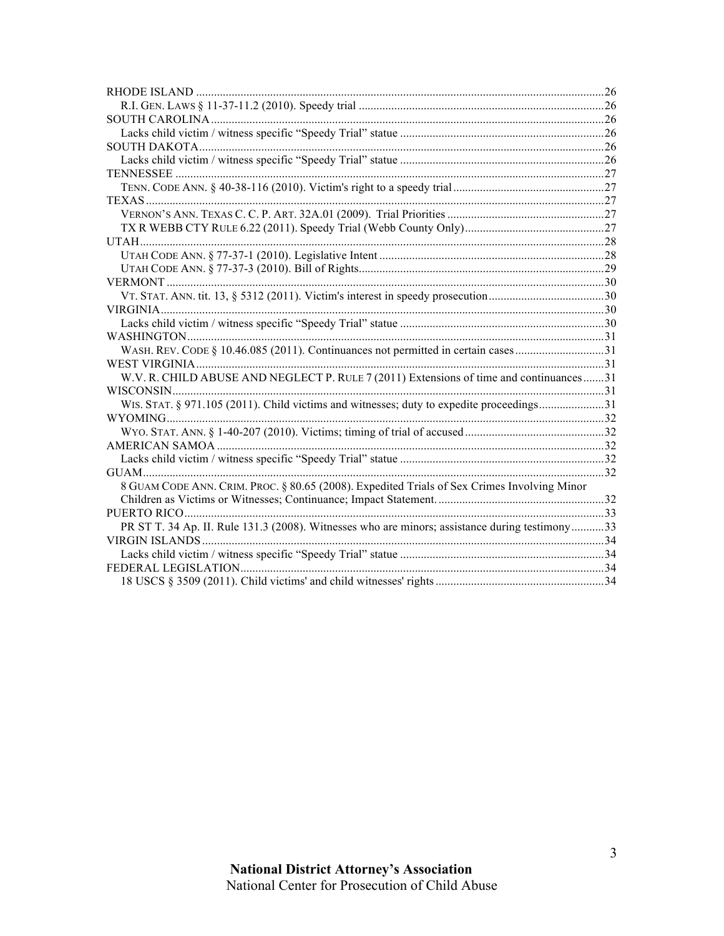| SOUTH CAROLINA                                                                                 |  |
|------------------------------------------------------------------------------------------------|--|
|                                                                                                |  |
| SOUTH DAKOTA                                                                                   |  |
|                                                                                                |  |
|                                                                                                |  |
|                                                                                                |  |
|                                                                                                |  |
|                                                                                                |  |
|                                                                                                |  |
|                                                                                                |  |
|                                                                                                |  |
|                                                                                                |  |
|                                                                                                |  |
|                                                                                                |  |
|                                                                                                |  |
|                                                                                                |  |
|                                                                                                |  |
| WASH. REV. CODE § 10.46.085 (2011). Continuances not permitted in certain cases 31             |  |
|                                                                                                |  |
| W.V. R. CHILD ABUSE AND NEGLECT P. RULE 7 (2011) Extensions of time and continuances31         |  |
| 31                                                                                             |  |
| WIS. STAT. § 971.105 (2011). Child victims and witnesses; duty to expedite proceedings31       |  |
|                                                                                                |  |
|                                                                                                |  |
|                                                                                                |  |
|                                                                                                |  |
|                                                                                                |  |
| 8 GUAM CODE ANN. CRIM. PROC. § 80.65 (2008). Expedited Trials of Sex Crimes Involving Minor    |  |
|                                                                                                |  |
| 33                                                                                             |  |
| PR ST T. 34 Ap. II. Rule 131.3 (2008). Witnesses who are minors; assistance during testimony33 |  |
|                                                                                                |  |
|                                                                                                |  |
| FEDERAL LEGISLATION.                                                                           |  |
|                                                                                                |  |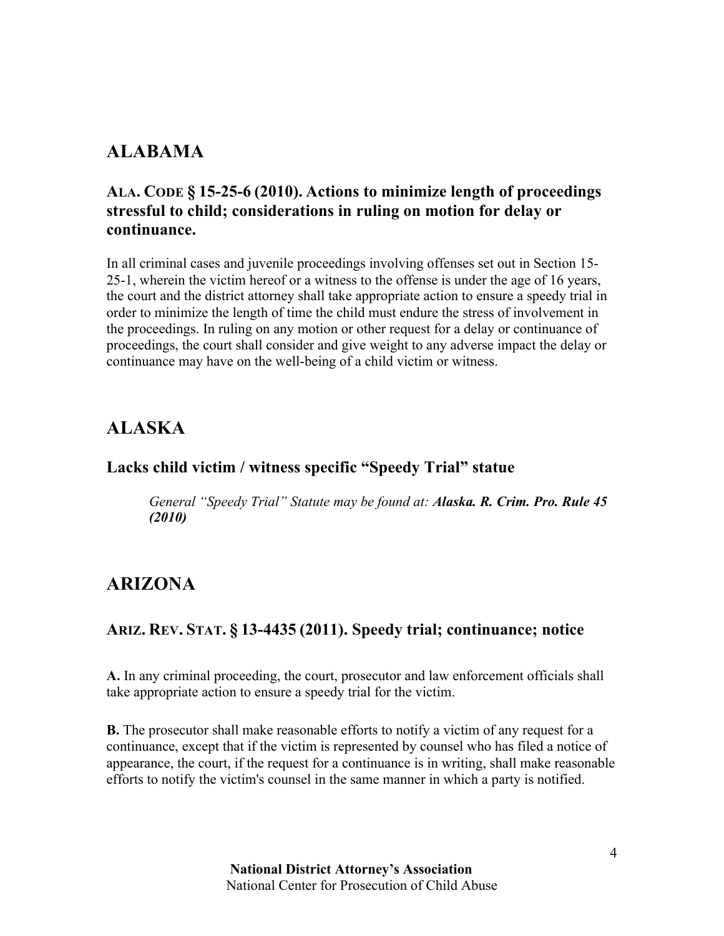## **ALABAMA**

## **ALA. CODE § 15-25-6 (2010). Actions to minimize length of proceedings stressful to child; considerations in ruling on motion for delay or continuance.**

In all criminal cases and juvenile proceedings involving offenses set out in Section 15- 25-1, wherein the victim hereof or a witness to the offense is under the age of 16 years, the court and the district attorney shall take appropriate action to ensure a speedy trial in order to minimize the length of time the child must endure the stress of involvement in the proceedings. In ruling on any motion or other request for a delay or continuance of proceedings, the court shall consider and give weight to any adverse impact the delay or continuance may have on the well-being of a child victim or witness.

## **ALASKA**

#### **Lacks child victim / witness specific "Speedy Trial" statue**

*General "Speedy Trial" Statute may be found at: Alaska. R. Crim. Pro. Rule 45 (2010)*

## **ARIZONA**

#### **ARIZ. REV. STAT. § 13-4435 (2011). Speedy trial; continuance; notice**

**A.** In any criminal proceeding, the court, prosecutor and law enforcement officials shall take appropriate action to ensure a speedy trial for the victim.

**B.** The prosecutor shall make reasonable efforts to notify a victim of any request for a continuance, except that if the victim is represented by counsel who has filed a notice of appearance, the court, if the request for a continuance is in writing, shall make reasonable efforts to notify the victim's counsel in the same manner in which a party is notified.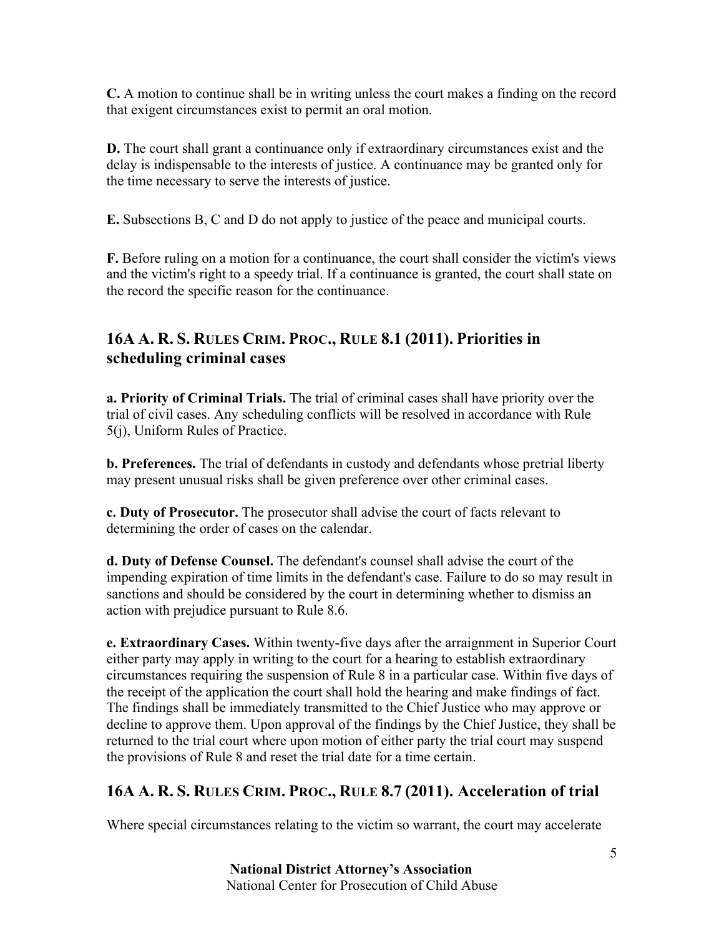**C.** A motion to continue shall be in writing unless the court makes a finding on the record that exigent circumstances exist to permit an oral motion.

**D.** The court shall grant a continuance only if extraordinary circumstances exist and the delay is indispensable to the interests of justice. A continuance may be granted only for the time necessary to serve the interests of justice.

**E.** Subsections B, C and D do not apply to justice of the peace and municipal courts.

**F.** Before ruling on a motion for a continuance, the court shall consider the victim's views and the victim's right to a speedy trial. If a continuance is granted, the court shall state on the record the specific reason for the continuance.

## **16A A. R. S. RULES CRIM. PROC., RULE 8.1 (2011). Priorities in scheduling criminal cases**

**a. Priority of Criminal Trials.** The trial of criminal cases shall have priority over the trial of civil cases. Any scheduling conflicts will be resolved in accordance with Rule 5(j), Uniform Rules of Practice.

**b. Preferences.** The trial of defendants in custody and defendants whose pretrial liberty may present unusual risks shall be given preference over other criminal cases.

**c. Duty of Prosecutor.** The prosecutor shall advise the court of facts relevant to determining the order of cases on the calendar.

**d. Duty of Defense Counsel.** The defendant's counsel shall advise the court of the impending expiration of time limits in the defendant's case. Failure to do so may result in sanctions and should be considered by the court in determining whether to dismiss an action with prejudice pursuant to Rule 8.6.

**e. Extraordinary Cases.** Within twenty-five days after the arraignment in Superior Court either party may apply in writing to the court for a hearing to establish extraordinary circumstances requiring the suspension of Rule 8 in a particular case. Within five days of the receipt of the application the court shall hold the hearing and make findings of fact. The findings shall be immediately transmitted to the Chief Justice who may approve or decline to approve them. Upon approval of the findings by the Chief Justice, they shall be returned to the trial court where upon motion of either party the trial court may suspend the provisions of Rule 8 and reset the trial date for a time certain.

## **16A A. R. S. RULES CRIM. PROC., RULE 8.7 (2011). Acceleration of trial**

Where special circumstances relating to the victim so warrant, the court may accelerate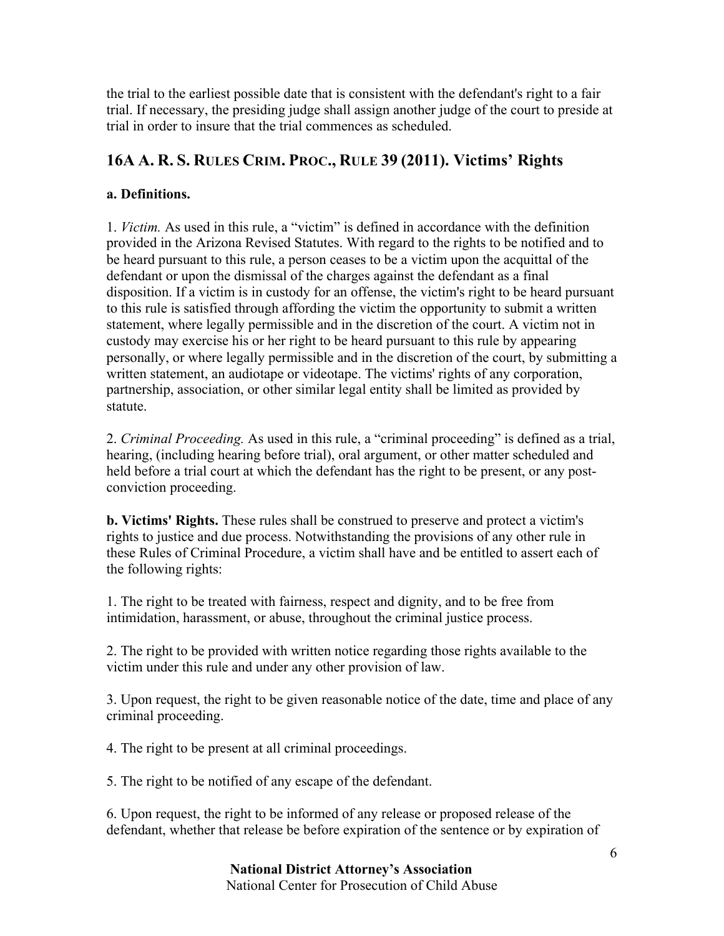the trial to the earliest possible date that is consistent with the defendant's right to a fair trial. If necessary, the presiding judge shall assign another judge of the court to preside at trial in order to insure that the trial commences as scheduled.

## **16A A. R. S. RULES CRIM. PROC., RULE 39 (2011). Victims' Rights**

#### **a. Definitions.**

1. *Victim.* As used in this rule, a "victim" is defined in accordance with the definition provided in the Arizona Revised Statutes. With regard to the rights to be notified and to be heard pursuant to this rule, a person ceases to be a victim upon the acquittal of the defendant or upon the dismissal of the charges against the defendant as a final disposition. If a victim is in custody for an offense, the victim's right to be heard pursuant to this rule is satisfied through affording the victim the opportunity to submit a written statement, where legally permissible and in the discretion of the court. A victim not in custody may exercise his or her right to be heard pursuant to this rule by appearing personally, or where legally permissible and in the discretion of the court, by submitting a written statement, an audiotape or videotape. The victims' rights of any corporation, partnership, association, or other similar legal entity shall be limited as provided by statute.

2. *Criminal Proceeding.* As used in this rule, a "criminal proceeding" is defined as a trial, hearing, (including hearing before trial), oral argument, or other matter scheduled and held before a trial court at which the defendant has the right to be present, or any postconviction proceeding.

**b. Victims' Rights.** These rules shall be construed to preserve and protect a victim's rights to justice and due process. Notwithstanding the provisions of any other rule in these Rules of Criminal Procedure, a victim shall have and be entitled to assert each of the following rights:

1. The right to be treated with fairness, respect and dignity, and to be free from intimidation, harassment, or abuse, throughout the criminal justice process.

2. The right to be provided with written notice regarding those rights available to the victim under this rule and under any other provision of law.

3. Upon request, the right to be given reasonable notice of the date, time and place of any criminal proceeding.

4. The right to be present at all criminal proceedings.

5. The right to be notified of any escape of the defendant.

6. Upon request, the right to be informed of any release or proposed release of the defendant, whether that release be before expiration of the sentence or by expiration of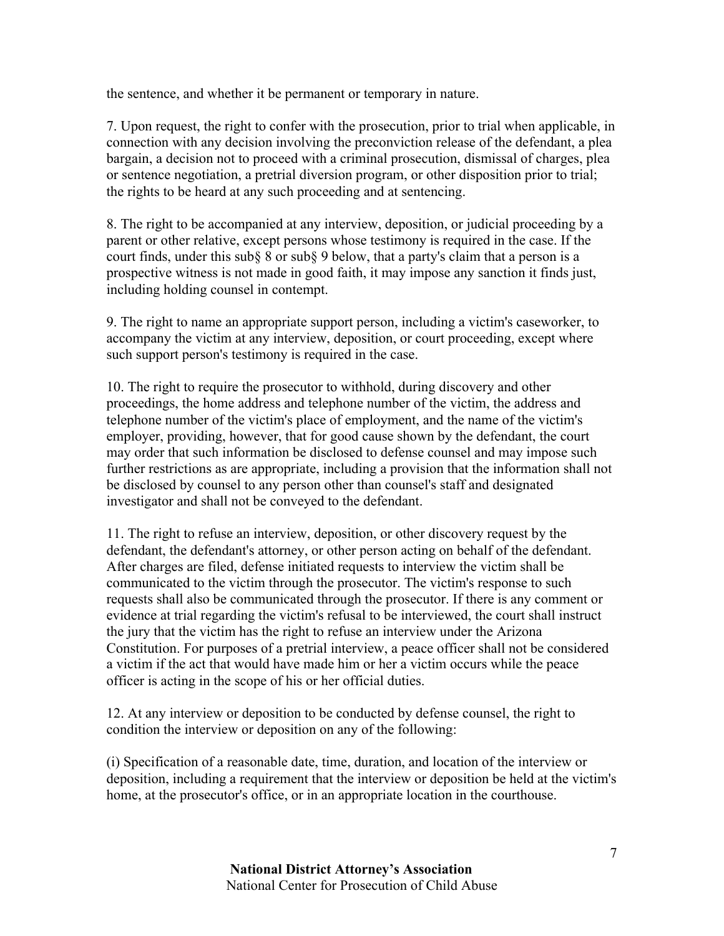the sentence, and whether it be permanent or temporary in nature.

7. Upon request, the right to confer with the prosecution, prior to trial when applicable, in connection with any decision involving the preconviction release of the defendant, a plea bargain, a decision not to proceed with a criminal prosecution, dismissal of charges, plea or sentence negotiation, a pretrial diversion program, or other disposition prior to trial; the rights to be heard at any such proceeding and at sentencing.

8. The right to be accompanied at any interview, deposition, or judicial proceeding by a parent or other relative, except persons whose testimony is required in the case. If the court finds, under this sub§ 8 or sub§ 9 below, that a party's claim that a person is a prospective witness is not made in good faith, it may impose any sanction it finds just, including holding counsel in contempt.

9. The right to name an appropriate support person, including a victim's caseworker, to accompany the victim at any interview, deposition, or court proceeding, except where such support person's testimony is required in the case.

10. The right to require the prosecutor to withhold, during discovery and other proceedings, the home address and telephone number of the victim, the address and telephone number of the victim's place of employment, and the name of the victim's employer, providing, however, that for good cause shown by the defendant, the court may order that such information be disclosed to defense counsel and may impose such further restrictions as are appropriate, including a provision that the information shall not be disclosed by counsel to any person other than counsel's staff and designated investigator and shall not be conveyed to the defendant.

11. The right to refuse an interview, deposition, or other discovery request by the defendant, the defendant's attorney, or other person acting on behalf of the defendant. After charges are filed, defense initiated requests to interview the victim shall be communicated to the victim through the prosecutor. The victim's response to such requests shall also be communicated through the prosecutor. If there is any comment or evidence at trial regarding the victim's refusal to be interviewed, the court shall instruct the jury that the victim has the right to refuse an interview under the Arizona Constitution. For purposes of a pretrial interview, a peace officer shall not be considered a victim if the act that would have made him or her a victim occurs while the peace officer is acting in the scope of his or her official duties.

12. At any interview or deposition to be conducted by defense counsel, the right to condition the interview or deposition on any of the following:

(i) Specification of a reasonable date, time, duration, and location of the interview or deposition, including a requirement that the interview or deposition be held at the victim's home, at the prosecutor's office, or in an appropriate location in the courthouse.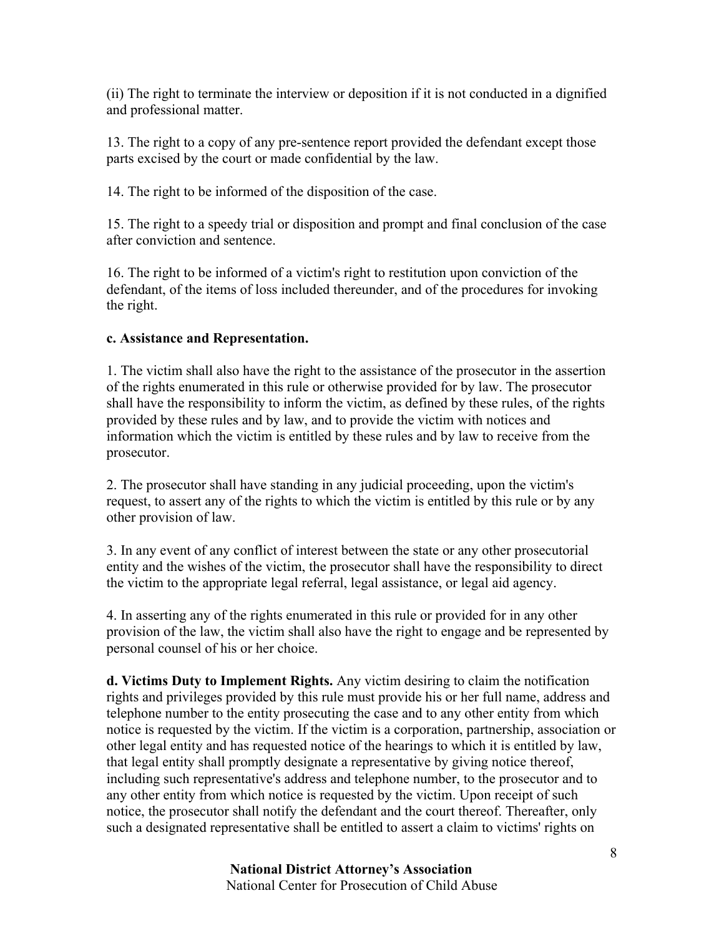(ii) The right to terminate the interview or deposition if it is not conducted in a dignified and professional matter.

13. The right to a copy of any pre-sentence report provided the defendant except those parts excised by the court or made confidential by the law.

14. The right to be informed of the disposition of the case.

15. The right to a speedy trial or disposition and prompt and final conclusion of the case after conviction and sentence.

16. The right to be informed of a victim's right to restitution upon conviction of the defendant, of the items of loss included thereunder, and of the procedures for invoking the right.

#### **c. Assistance and Representation.**

1. The victim shall also have the right to the assistance of the prosecutor in the assertion of the rights enumerated in this rule or otherwise provided for by law. The prosecutor shall have the responsibility to inform the victim, as defined by these rules, of the rights provided by these rules and by law, and to provide the victim with notices and information which the victim is entitled by these rules and by law to receive from the prosecutor.

2. The prosecutor shall have standing in any judicial proceeding, upon the victim's request, to assert any of the rights to which the victim is entitled by this rule or by any other provision of law.

3. In any event of any conflict of interest between the state or any other prosecutorial entity and the wishes of the victim, the prosecutor shall have the responsibility to direct the victim to the appropriate legal referral, legal assistance, or legal aid agency.

4. In asserting any of the rights enumerated in this rule or provided for in any other provision of the law, the victim shall also have the right to engage and be represented by personal counsel of his or her choice.

**d. Victims Duty to Implement Rights.** Any victim desiring to claim the notification rights and privileges provided by this rule must provide his or her full name, address and telephone number to the entity prosecuting the case and to any other entity from which notice is requested by the victim. If the victim is a corporation, partnership, association or other legal entity and has requested notice of the hearings to which it is entitled by law, that legal entity shall promptly designate a representative by giving notice thereof, including such representative's address and telephone number, to the prosecutor and to any other entity from which notice is requested by the victim. Upon receipt of such notice, the prosecutor shall notify the defendant and the court thereof. Thereafter, only such a designated representative shall be entitled to assert a claim to victims' rights on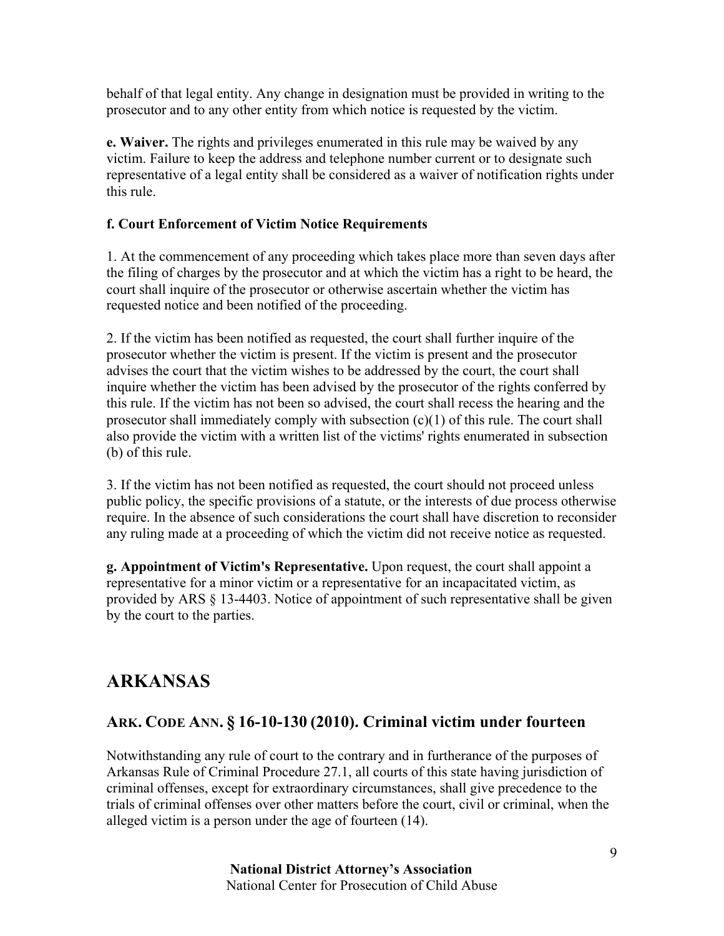behalf of that legal entity. Any change in designation must be provided in writing to the prosecutor and to any other entity from which notice is requested by the victim.

**e. Waiver.** The rights and privileges enumerated in this rule may be waived by any victim. Failure to keep the address and telephone number current or to designate such representative of a legal entity shall be considered as a waiver of notification rights under this rule.

#### **f. Court Enforcement of Victim Notice Requirements**

1. At the commencement of any proceeding which takes place more than seven days after the filing of charges by the prosecutor and at which the victim has a right to be heard, the court shall inquire of the prosecutor or otherwise ascertain whether the victim has requested notice and been notified of the proceeding.

2. If the victim has been notified as requested, the court shall further inquire of the prosecutor whether the victim is present. If the victim is present and the prosecutor advises the court that the victim wishes to be addressed by the court, the court shall inquire whether the victim has been advised by the prosecutor of the rights conferred by this rule. If the victim has not been so advised, the court shall recess the hearing and the prosecutor shall immediately comply with subsection (c)(1) of this rule. The court shall also provide the victim with a written list of the victims' rights enumerated in subsection (b) of this rule.

3. If the victim has not been notified as requested, the court should not proceed unless public policy, the specific provisions of a statute, or the interests of due process otherwise require. In the absence of such considerations the court shall have discretion to reconsider any ruling made at a proceeding of which the victim did not receive notice as requested.

**g. Appointment of Victim's Representative.** Upon request, the court shall appoint a representative for a minor victim or a representative for an incapacitated victim, as provided by ARS § 13-4403. Notice of appointment of such representative shall be given by the court to the parties.

# **ARKANSAS**

## **ARK. CODE ANN. § 16-10-130 (2010). Criminal victim under fourteen**

Notwithstanding any rule of court to the contrary and in furtherance of the purposes of Arkansas Rule of Criminal Procedure 27.1, all courts of this state having jurisdiction of criminal offenses, except for extraordinary circumstances, shall give precedence to the trials of criminal offenses over other matters before the court, civil or criminal, when the alleged victim is a person under the age of fourteen (14).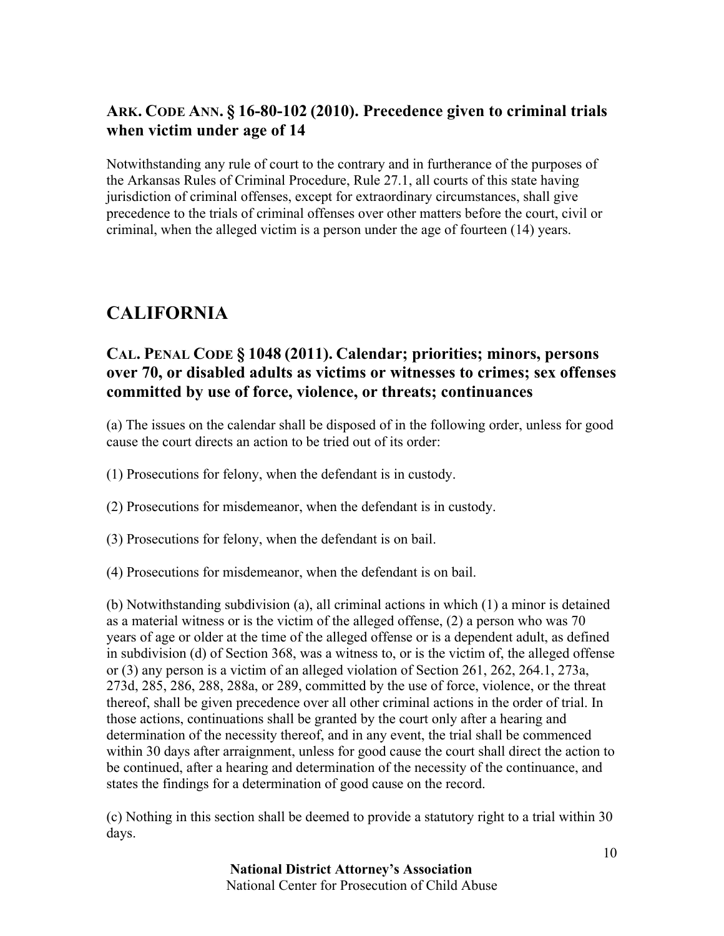## **ARK. CODE ANN. § 16-80-102 (2010). Precedence given to criminal trials when victim under age of 14**

Notwithstanding any rule of court to the contrary and in furtherance of the purposes of the Arkansas Rules of Criminal Procedure, Rule 27.1, all courts of this state having jurisdiction of criminal offenses, except for extraordinary circumstances, shall give precedence to the trials of criminal offenses over other matters before the court, civil or criminal, when the alleged victim is a person under the age of fourteen (14) years.

# **CALIFORNIA**

## **CAL. PENAL CODE § 1048 (2011). Calendar; priorities; minors, persons over 70, or disabled adults as victims or witnesses to crimes; sex offenses committed by use of force, violence, or threats; continuances**

(a) The issues on the calendar shall be disposed of in the following order, unless for good cause the court directs an action to be tried out of its order:

(1) Prosecutions for felony, when the defendant is in custody.

(2) Prosecutions for misdemeanor, when the defendant is in custody.

(3) Prosecutions for felony, when the defendant is on bail.

(4) Prosecutions for misdemeanor, when the defendant is on bail.

(b) Notwithstanding subdivision (a), all criminal actions in which (1) a minor is detained as a material witness or is the victim of the alleged offense, (2) a person who was 70 years of age or older at the time of the alleged offense or is a dependent adult, as defined in subdivision (d) of Section 368, was a witness to, or is the victim of, the alleged offense or (3) any person is a victim of an alleged violation of Section 261, 262, 264.1, 273a, 273d, 285, 286, 288, 288a, or 289, committed by the use of force, violence, or the threat thereof, shall be given precedence over all other criminal actions in the order of trial. In those actions, continuations shall be granted by the court only after a hearing and determination of the necessity thereof, and in any event, the trial shall be commenced within 30 days after arraignment, unless for good cause the court shall direct the action to be continued, after a hearing and determination of the necessity of the continuance, and states the findings for a determination of good cause on the record.

(c) Nothing in this section shall be deemed to provide a statutory right to a trial within 30 days.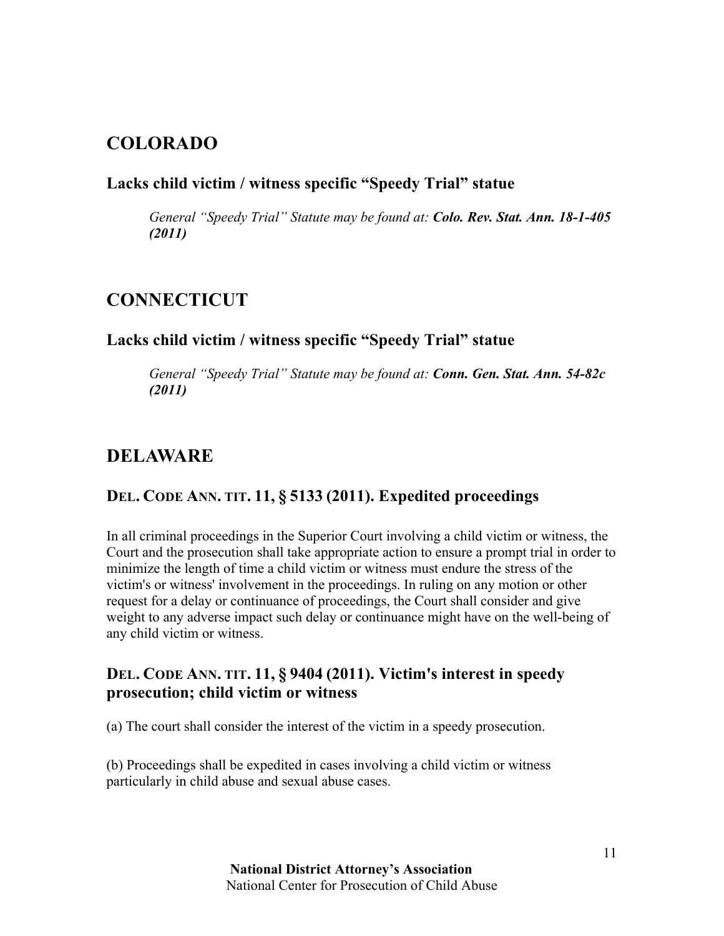## **COLORADO**

## **Lacks child victim / witness specific "Speedy Trial" statue**

*General "Speedy Trial" Statute may be found at: Colo. Rev. Stat. Ann. 18-1-405 (2011)*

## **CONNECTICUT**

#### **Lacks child victim / witness specific "Speedy Trial" statue**

*General "Speedy Trial" Statute may be found at: Conn. Gen. Stat. Ann. 54-82c (2011)*

## **DELAWARE**

## **DEL. CODE ANN. TIT. 11, § 5133 (2011). Expedited proceedings**

In all criminal proceedings in the Superior Court involving a child victim or witness, the Court and the prosecution shall take appropriate action to ensure a prompt trial in order to minimize the length of time a child victim or witness must endure the stress of the victim's or witness' involvement in the proceedings. In ruling on any motion or other request for a delay or continuance of proceedings, the Court shall consider and give weight to any adverse impact such delay or continuance might have on the well-being of any child victim or witness.

## **DEL. CODE ANN. TIT. 11, § 9404 (2011). Victim's interest in speedy prosecution; child victim or witness**

(a) The court shall consider the interest of the victim in a speedy prosecution.

(b) Proceedings shall be expedited in cases involving a child victim or witness particularly in child abuse and sexual abuse cases.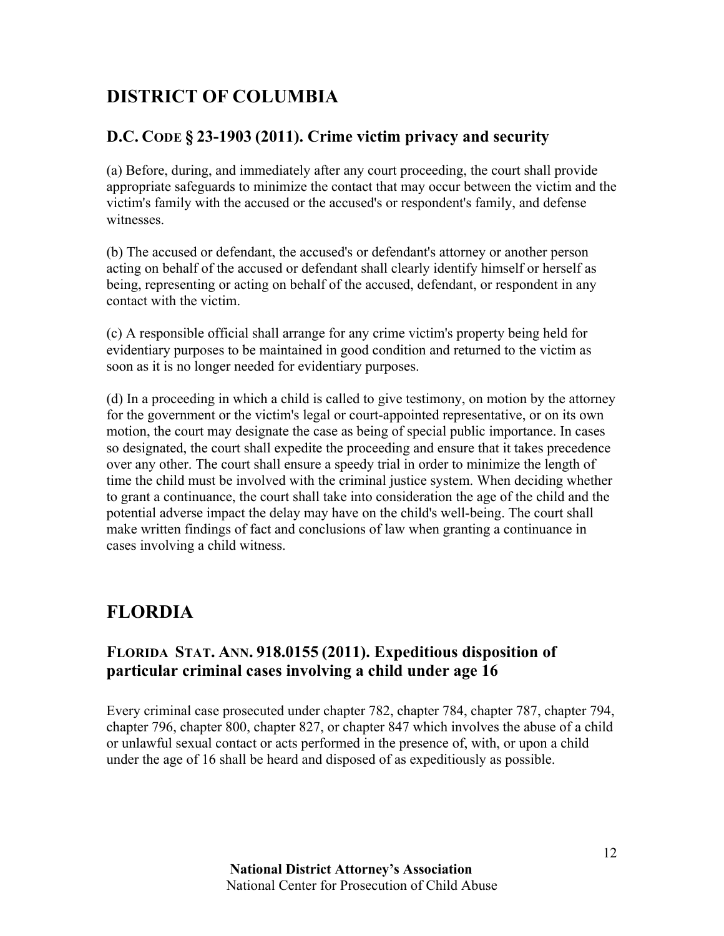# **DISTRICT OF COLUMBIA**

## **D.C. CODE § 23-1903 (2011). Crime victim privacy and security**

(a) Before, during, and immediately after any court proceeding, the court shall provide appropriate safeguards to minimize the contact that may occur between the victim and the victim's family with the accused or the accused's or respondent's family, and defense witnesses.

(b) The accused or defendant, the accused's or defendant's attorney or another person acting on behalf of the accused or defendant shall clearly identify himself or herself as being, representing or acting on behalf of the accused, defendant, or respondent in any contact with the victim.

(c) A responsible official shall arrange for any crime victim's property being held for evidentiary purposes to be maintained in good condition and returned to the victim as soon as it is no longer needed for evidentiary purposes.

(d) In a proceeding in which a child is called to give testimony, on motion by the attorney for the government or the victim's legal or court-appointed representative, or on its own motion, the court may designate the case as being of special public importance. In cases so designated, the court shall expedite the proceeding and ensure that it takes precedence over any other. The court shall ensure a speedy trial in order to minimize the length of time the child must be involved with the criminal justice system. When deciding whether to grant a continuance, the court shall take into consideration the age of the child and the potential adverse impact the delay may have on the child's well-being. The court shall make written findings of fact and conclusions of law when granting a continuance in cases involving a child witness.

# **FLORDIA**

## **FLORIDA STAT. ANN. 918.0155 (2011). Expeditious disposition of particular criminal cases involving a child under age 16**

Every criminal case prosecuted under chapter 782, chapter 784, chapter 787, chapter 794, chapter 796, chapter 800, chapter 827, or chapter 847 which involves the abuse of a child or unlawful sexual contact or acts performed in the presence of, with, or upon a child under the age of 16 shall be heard and disposed of as expeditiously as possible.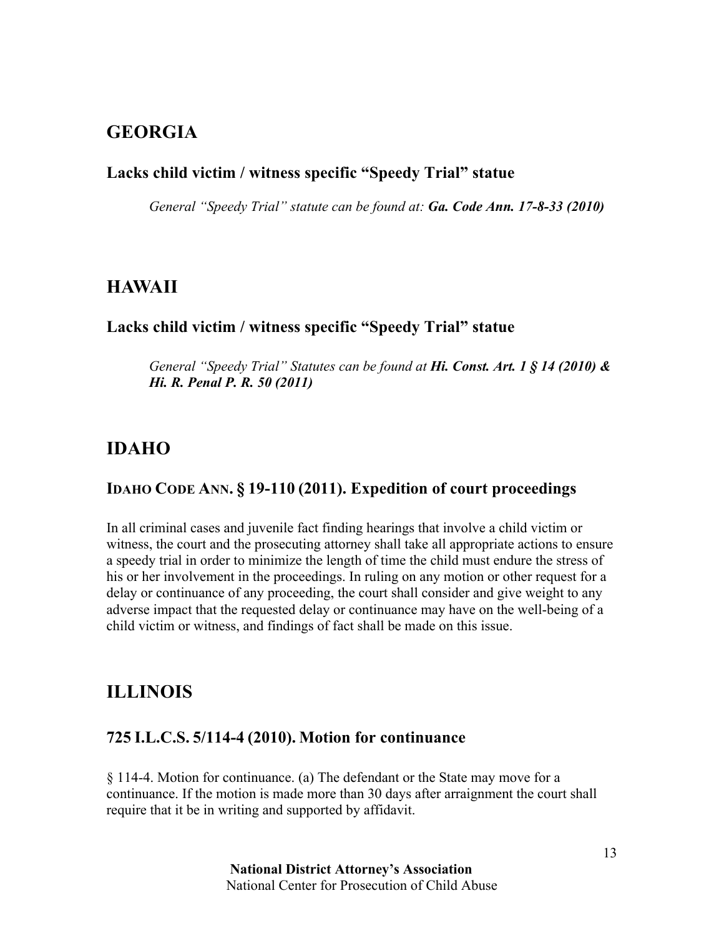## **GEORGIA**

#### **Lacks child victim / witness specific "Speedy Trial" statue**

*General "Speedy Trial" statute can be found at: Ga. Code Ann. 17-8-33 (2010)*

#### **HAWAII**

#### **Lacks child victim / witness specific "Speedy Trial" statue**

*General "Speedy Trial" Statutes can be found at Hi. Const. Art. 1 § 14 (2010) & Hi. R. Penal P. R. 50 (2011)*

#### **IDAHO**

#### **IDAHO CODE ANN. § 19-110 (2011). Expedition of court proceedings**

In all criminal cases and juvenile fact finding hearings that involve a child victim or witness, the court and the prosecuting attorney shall take all appropriate actions to ensure a speedy trial in order to minimize the length of time the child must endure the stress of his or her involvement in the proceedings. In ruling on any motion or other request for a delay or continuance of any proceeding, the court shall consider and give weight to any adverse impact that the requested delay or continuance may have on the well-being of a child victim or witness, and findings of fact shall be made on this issue.

#### **ILLINOIS**

#### **725 I.L.C.S. 5/114-4 (2010). Motion for continuance**

§ 114-4. Motion for continuance. (a) The defendant or the State may move for a continuance. If the motion is made more than 30 days after arraignment the court shall require that it be in writing and supported by affidavit.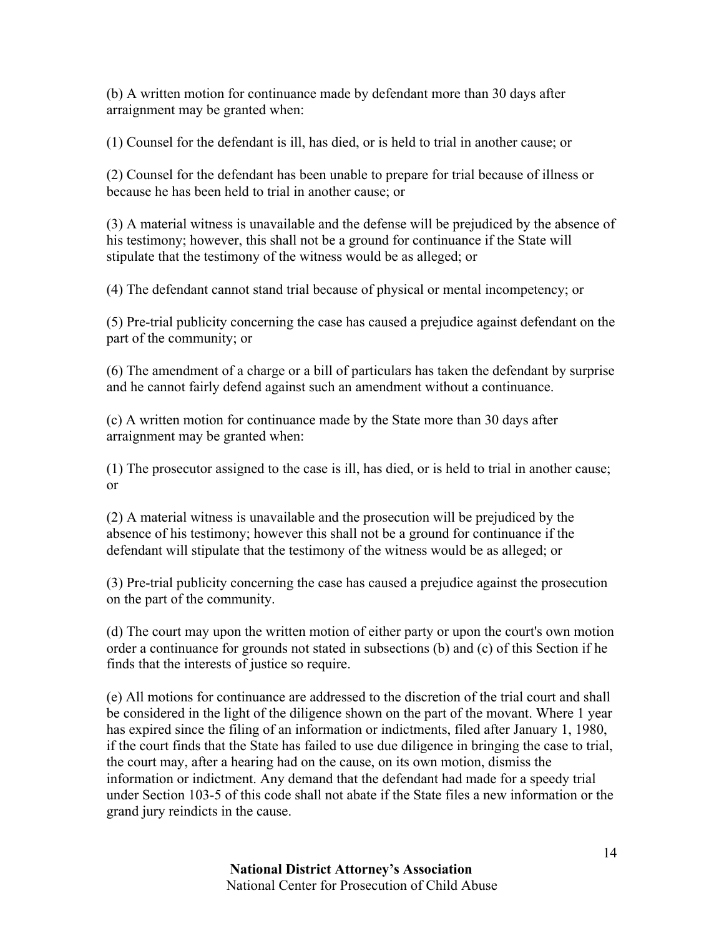(b) A written motion for continuance made by defendant more than 30 days after arraignment may be granted when:

(1) Counsel for the defendant is ill, has died, or is held to trial in another cause; or

(2) Counsel for the defendant has been unable to prepare for trial because of illness or because he has been held to trial in another cause; or

(3) A material witness is unavailable and the defense will be prejudiced by the absence of his testimony; however, this shall not be a ground for continuance if the State will stipulate that the testimony of the witness would be as alleged; or

(4) The defendant cannot stand trial because of physical or mental incompetency; or

(5) Pre-trial publicity concerning the case has caused a prejudice against defendant on the part of the community; or

(6) The amendment of a charge or a bill of particulars has taken the defendant by surprise and he cannot fairly defend against such an amendment without a continuance.

(c) A written motion for continuance made by the State more than 30 days after arraignment may be granted when:

(1) The prosecutor assigned to the case is ill, has died, or is held to trial in another cause; or

(2) A material witness is unavailable and the prosecution will be prejudiced by the absence of his testimony; however this shall not be a ground for continuance if the defendant will stipulate that the testimony of the witness would be as alleged; or

(3) Pre-trial publicity concerning the case has caused a prejudice against the prosecution on the part of the community.

(d) The court may upon the written motion of either party or upon the court's own motion order a continuance for grounds not stated in subsections (b) and (c) of this Section if he finds that the interests of justice so require.

(e) All motions for continuance are addressed to the discretion of the trial court and shall be considered in the light of the diligence shown on the part of the movant. Where 1 year has expired since the filing of an information or indictments, filed after January 1, 1980, if the court finds that the State has failed to use due diligence in bringing the case to trial, the court may, after a hearing had on the cause, on its own motion, dismiss the information or indictment. Any demand that the defendant had made for a speedy trial under Section 103-5 of this code shall not abate if the State files a new information or the grand jury reindicts in the cause.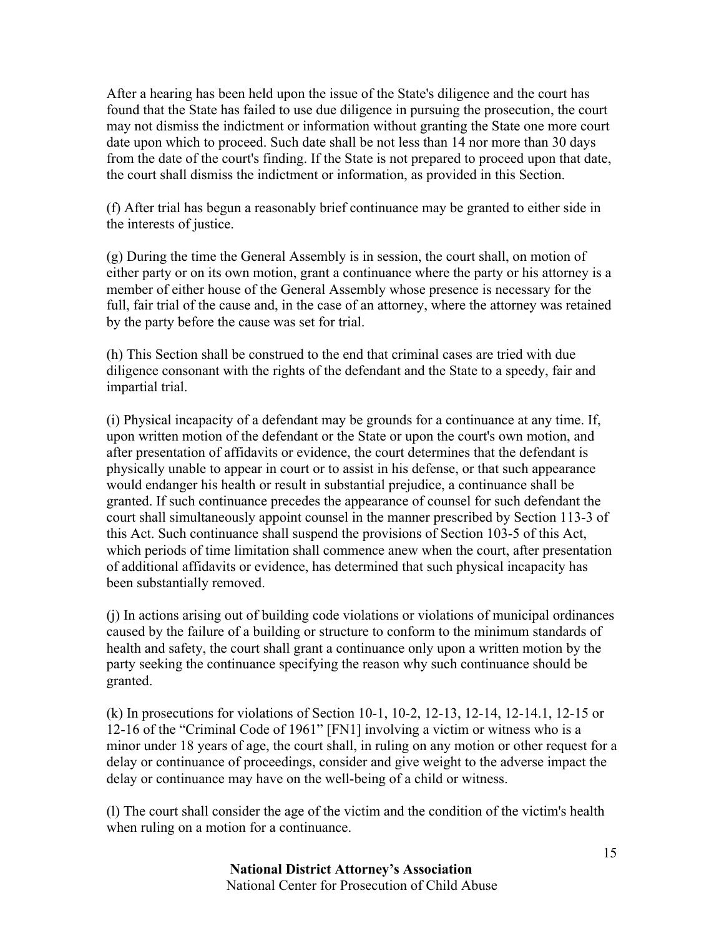After a hearing has been held upon the issue of the State's diligence and the court has found that the State has failed to use due diligence in pursuing the prosecution, the court may not dismiss the indictment or information without granting the State one more court date upon which to proceed. Such date shall be not less than 14 nor more than 30 days from the date of the court's finding. If the State is not prepared to proceed upon that date, the court shall dismiss the indictment or information, as provided in this Section.

(f) After trial has begun a reasonably brief continuance may be granted to either side in the interests of justice.

(g) During the time the General Assembly is in session, the court shall, on motion of either party or on its own motion, grant a continuance where the party or his attorney is a member of either house of the General Assembly whose presence is necessary for the full, fair trial of the cause and, in the case of an attorney, where the attorney was retained by the party before the cause was set for trial.

(h) This Section shall be construed to the end that criminal cases are tried with due diligence consonant with the rights of the defendant and the State to a speedy, fair and impartial trial.

(i) Physical incapacity of a defendant may be grounds for a continuance at any time. If, upon written motion of the defendant or the State or upon the court's own motion, and after presentation of affidavits or evidence, the court determines that the defendant is physically unable to appear in court or to assist in his defense, or that such appearance would endanger his health or result in substantial prejudice, a continuance shall be granted. If such continuance precedes the appearance of counsel for such defendant the court shall simultaneously appoint counsel in the manner prescribed by Section 113-3 of this Act. Such continuance shall suspend the provisions of Section 103-5 of this Act, which periods of time limitation shall commence anew when the court, after presentation of additional affidavits or evidence, has determined that such physical incapacity has been substantially removed.

(j) In actions arising out of building code violations or violations of municipal ordinances caused by the failure of a building or structure to conform to the minimum standards of health and safety, the court shall grant a continuance only upon a written motion by the party seeking the continuance specifying the reason why such continuance should be granted.

(k) In prosecutions for violations of Section 10-1, 10-2, 12-13, 12-14, 12-14.1, 12-15 or 12-16 of the "Criminal Code of 1961" [FN1] involving a victim or witness who is a minor under 18 years of age, the court shall, in ruling on any motion or other request for a delay or continuance of proceedings, consider and give weight to the adverse impact the delay or continuance may have on the well-being of a child or witness.

(l) The court shall consider the age of the victim and the condition of the victim's health when ruling on a motion for a continuance.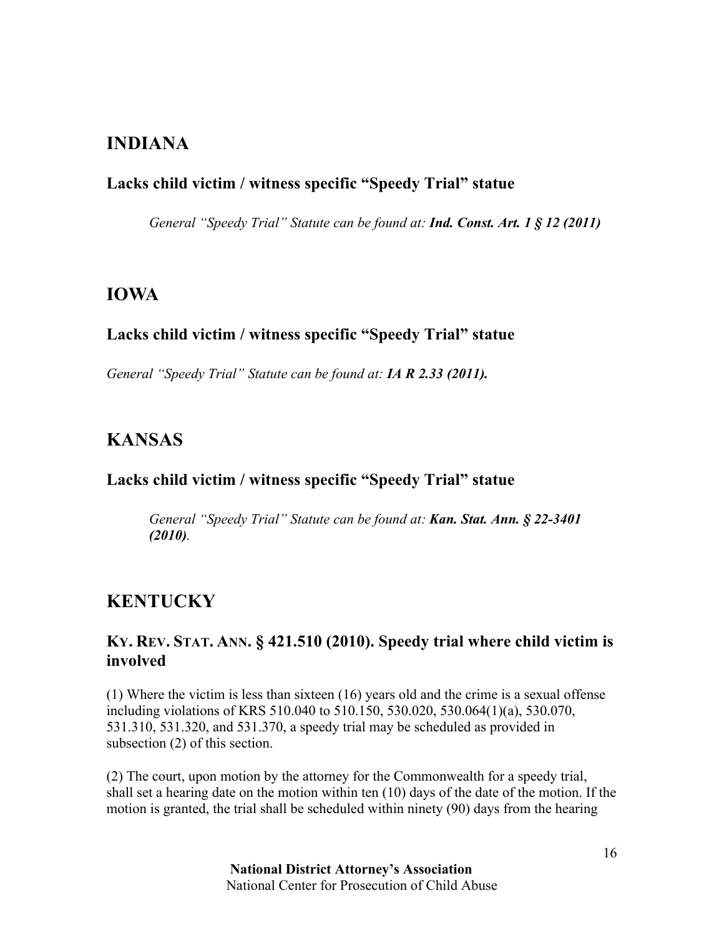## **INDIANA**

## **Lacks child victim / witness specific "Speedy Trial" statue**

*General "Speedy Trial" Statute can be found at: Ind. Const. Art. 1 § 12 (2011)*

#### **IOWA**

#### **Lacks child victim / witness specific "Speedy Trial" statue**

*General "Speedy Trial" Statute can be found at: IA R 2.33 (2011).* 

## **KANSAS**

#### **Lacks child victim / witness specific "Speedy Trial" statue**

*General "Speedy Trial" Statute can be found at: Kan. Stat. Ann. § 22-3401 (2010).* 

## **KENTUCKY**

#### **KY. REV. STAT. ANN. § 421.510 (2010). Speedy trial where child victim is involved**

(1) Where the victim is less than sixteen (16) years old and the crime is a sexual offense including violations of KRS 510.040 to 510.150, 530.020, 530.064(1)(a), 530.070, 531.310, 531.320, and 531.370, a speedy trial may be scheduled as provided in subsection (2) of this section.

(2) The court, upon motion by the attorney for the Commonwealth for a speedy trial, shall set a hearing date on the motion within ten (10) days of the date of the motion. If the motion is granted, the trial shall be scheduled within ninety (90) days from the hearing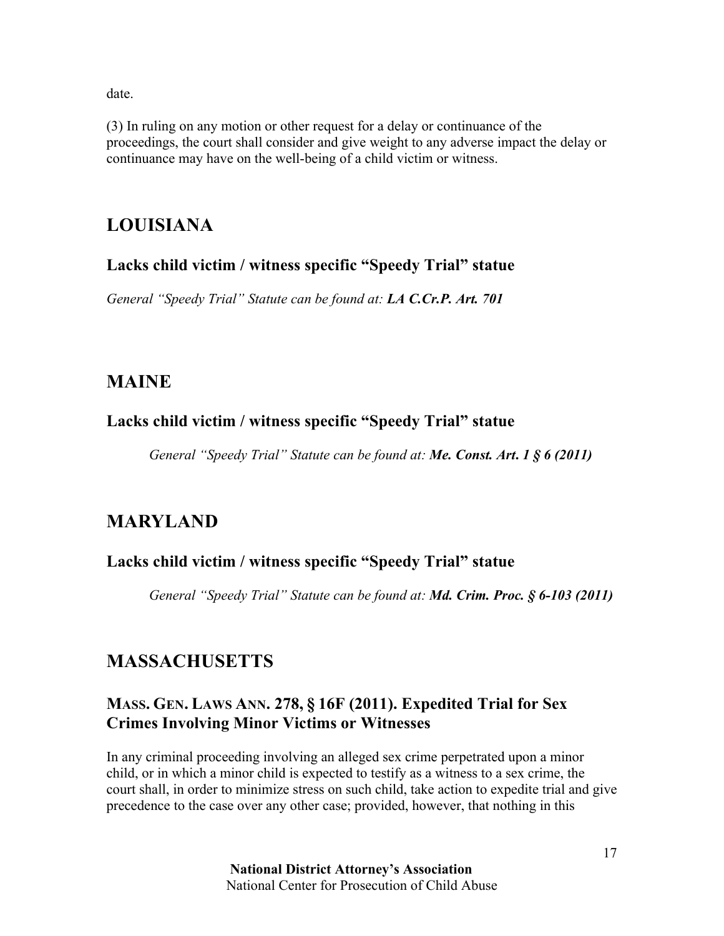date.

(3) In ruling on any motion or other request for a delay or continuance of the proceedings, the court shall consider and give weight to any adverse impact the delay or continuance may have on the well-being of a child victim or witness.

# **LOUISIANA**

## **Lacks child victim / witness specific "Speedy Trial" statue**

*General "Speedy Trial" Statute can be found at: LA C.Cr.P. Art. 701*

## **MAINE**

## **Lacks child victim / witness specific "Speedy Trial" statue**

*General "Speedy Trial" Statute can be found at: Me. Const. Art***.** *1 § 6 (2011)*

# **MARYLAND**

## **Lacks child victim / witness specific "Speedy Trial" statue**

*General "Speedy Trial" Statute can be found at: Md. Crim. Proc. § 6-103 (2011)*

# **MASSACHUSETTS**

## **MASS. GEN. LAWS ANN. 278, § 16F (2011). Expedited Trial for Sex Crimes Involving Minor Victims or Witnesses**

In any criminal proceeding involving an alleged sex crime perpetrated upon a minor child, or in which a minor child is expected to testify as a witness to a sex crime, the court shall, in order to minimize stress on such child, take action to expedite trial and give precedence to the case over any other case; provided, however, that nothing in this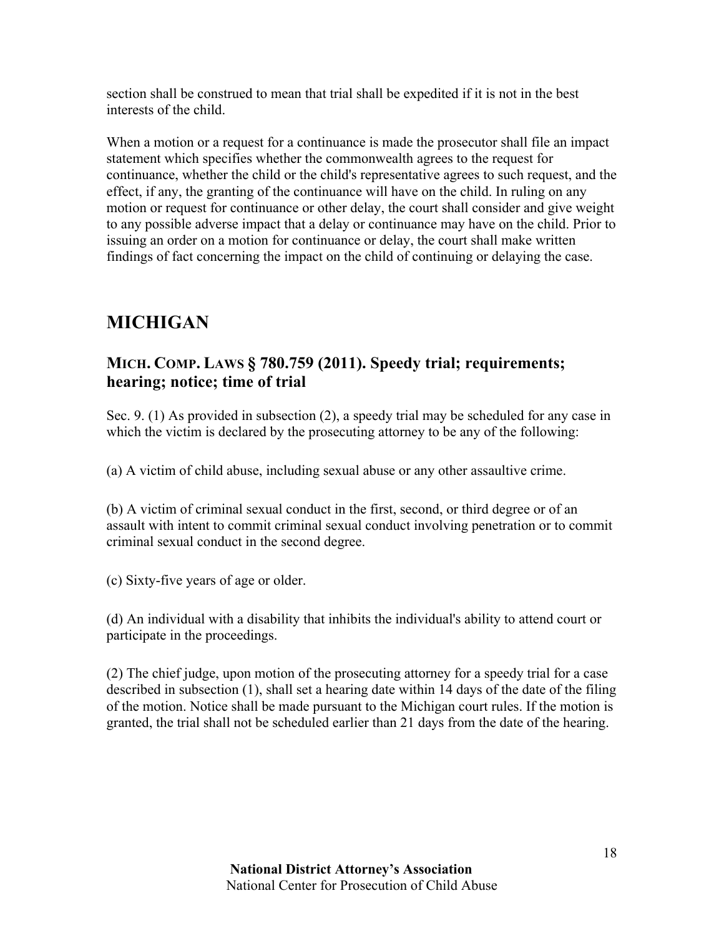section shall be construed to mean that trial shall be expedited if it is not in the best interests of the child.

When a motion or a request for a continuance is made the prosecutor shall file an impact statement which specifies whether the commonwealth agrees to the request for continuance, whether the child or the child's representative agrees to such request, and the effect, if any, the granting of the continuance will have on the child. In ruling on any motion or request for continuance or other delay, the court shall consider and give weight to any possible adverse impact that a delay or continuance may have on the child. Prior to issuing an order on a motion for continuance or delay, the court shall make written findings of fact concerning the impact on the child of continuing or delaying the case.

# **MICHIGAN**

## **MICH. COMP. LAWS § 780.759 (2011). Speedy trial; requirements; hearing; notice; time of trial**

Sec. 9. (1) As provided in subsection (2), a speedy trial may be scheduled for any case in which the victim is declared by the prosecuting attorney to be any of the following:

(a) A victim of child abuse, including sexual abuse or any other assaultive crime.

(b) A victim of criminal sexual conduct in the first, second, or third degree or of an assault with intent to commit criminal sexual conduct involving penetration or to commit criminal sexual conduct in the second degree.

(c) Sixty-five years of age or older.

(d) An individual with a disability that inhibits the individual's ability to attend court or participate in the proceedings.

(2) The chief judge, upon motion of the prosecuting attorney for a speedy trial for a case described in subsection (1), shall set a hearing date within 14 days of the date of the filing of the motion. Notice shall be made pursuant to the Michigan court rules. If the motion is granted, the trial shall not be scheduled earlier than 21 days from the date of the hearing.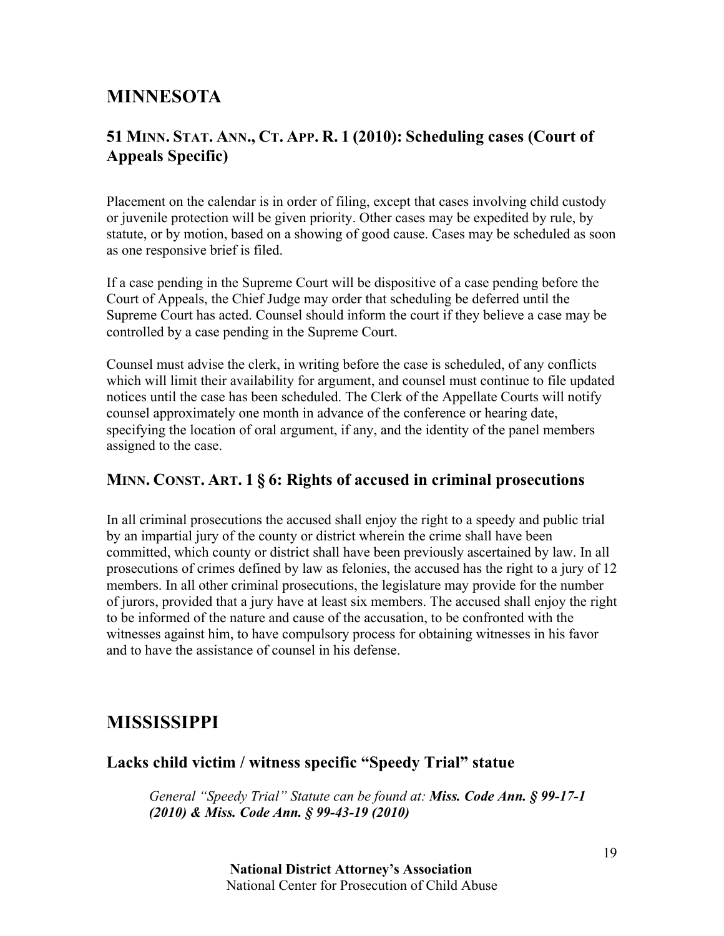# **MINNESOTA**

## **51 MINN. STAT. ANN., CT. APP. R. 1 (2010): Scheduling cases (Court of Appeals Specific)**

Placement on the calendar is in order of filing, except that cases involving child custody or juvenile protection will be given priority. Other cases may be expedited by rule, by statute, or by motion, based on a showing of good cause. Cases may be scheduled as soon as one responsive brief is filed.

If a case pending in the Supreme Court will be dispositive of a case pending before the Court of Appeals, the Chief Judge may order that scheduling be deferred until the Supreme Court has acted. Counsel should inform the court if they believe a case may be controlled by a case pending in the Supreme Court.

Counsel must advise the clerk, in writing before the case is scheduled, of any conflicts which will limit their availability for argument, and counsel must continue to file updated notices until the case has been scheduled. The Clerk of the Appellate Courts will notify counsel approximately one month in advance of the conference or hearing date, specifying the location of oral argument, if any, and the identity of the panel members assigned to the case.

#### **MINN. CONST. ART. 1 § 6: Rights of accused in criminal prosecutions**

In all criminal prosecutions the accused shall enjoy the right to a speedy and public trial by an impartial jury of the county or district wherein the crime shall have been committed, which county or district shall have been previously ascertained by law. In all prosecutions of crimes defined by law as felonies, the accused has the right to a jury of 12 members. In all other criminal prosecutions, the legislature may provide for the number of jurors, provided that a jury have at least six members. The accused shall enjoy the right to be informed of the nature and cause of the accusation, to be confronted with the witnesses against him, to have compulsory process for obtaining witnesses in his favor and to have the assistance of counsel in his defense.

## **MISSISSIPPI**

#### **Lacks child victim / witness specific "Speedy Trial" statue**

*General "Speedy Trial" Statute can be found at: Miss. Code Ann. § 99-17-1 (2010) & Miss. Code Ann. § 99-43-19 (2010)*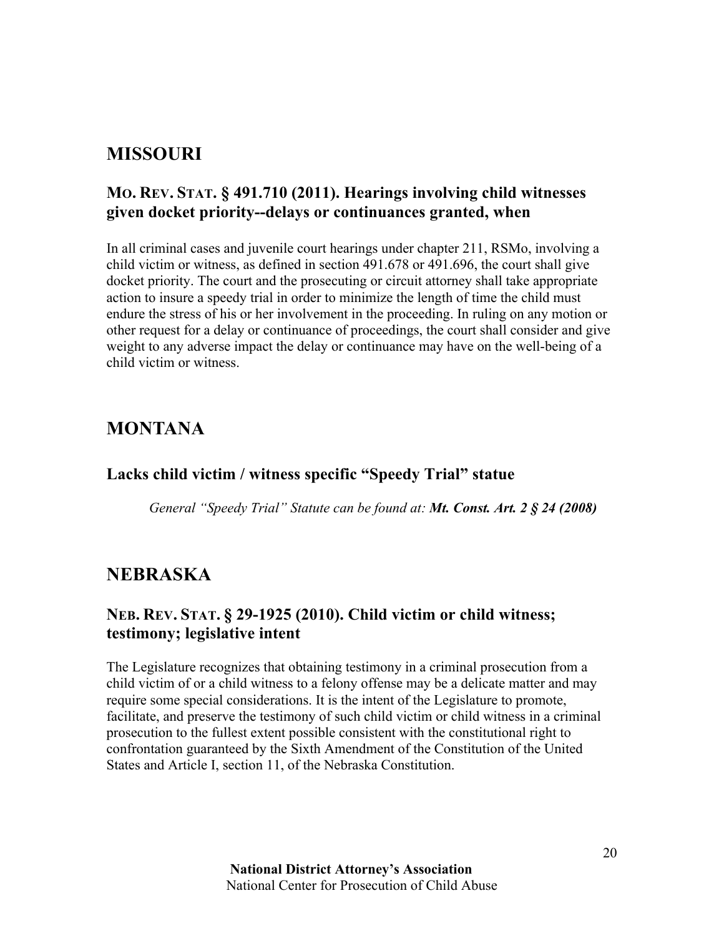## **MISSOURI**

### **MO. REV. STAT. § 491.710 (2011). Hearings involving child witnesses given docket priority--delays or continuances granted, when**

In all criminal cases and juvenile court hearings under chapter 211, RSMo, involving a child victim or witness, as defined in section 491.678 or 491.696, the court shall give docket priority. The court and the prosecuting or circuit attorney shall take appropriate action to insure a speedy trial in order to minimize the length of time the child must endure the stress of his or her involvement in the proceeding. In ruling on any motion or other request for a delay or continuance of proceedings, the court shall consider and give weight to any adverse impact the delay or continuance may have on the well-being of a child victim or witness.

## **MONTANA**

#### **Lacks child victim / witness specific "Speedy Trial" statue**

*General "Speedy Trial" Statute can be found at: Mt. Const. Art. 2 § 24 (2008)*

## **NEBRASKA**

## **NEB. REV. STAT. § 29-1925 (2010). Child victim or child witness; testimony; legislative intent**

The Legislature recognizes that obtaining testimony in a criminal prosecution from a child victim of or a child witness to a felony offense may be a delicate matter and may require some special considerations. It is the intent of the Legislature to promote, facilitate, and preserve the testimony of such child victim or child witness in a criminal prosecution to the fullest extent possible consistent with the constitutional right to confrontation guaranteed by the Sixth Amendment of the Constitution of the United States and Article I, section 11, of the Nebraska Constitution.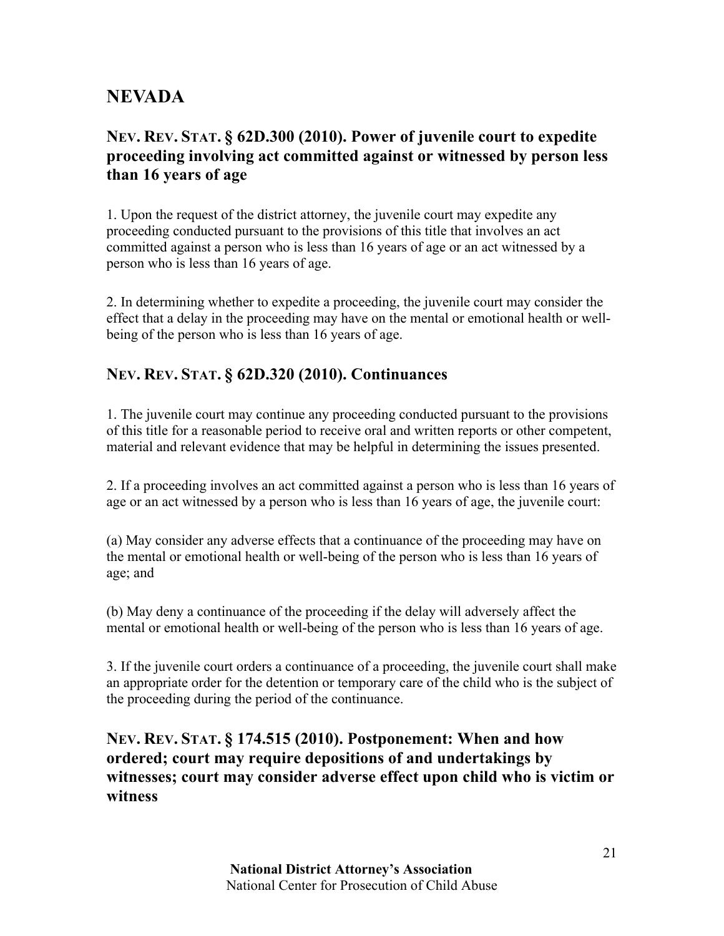# **NEVADA**

## **NEV. REV. STAT. § 62D.300 (2010). Power of juvenile court to expedite proceeding involving act committed against or witnessed by person less than 16 years of age**

1. Upon the request of the district attorney, the juvenile court may expedite any proceeding conducted pursuant to the provisions of this title that involves an act committed against a person who is less than 16 years of age or an act witnessed by a person who is less than 16 years of age.

2. In determining whether to expedite a proceeding, the juvenile court may consider the effect that a delay in the proceeding may have on the mental or emotional health or wellbeing of the person who is less than 16 years of age.

## **NEV. REV. STAT. § 62D.320 (2010). Continuances**

1. The juvenile court may continue any proceeding conducted pursuant to the provisions of this title for a reasonable period to receive oral and written reports or other competent, material and relevant evidence that may be helpful in determining the issues presented.

2. If a proceeding involves an act committed against a person who is less than 16 years of age or an act witnessed by a person who is less than 16 years of age, the juvenile court:

(a) May consider any adverse effects that a continuance of the proceeding may have on the mental or emotional health or well-being of the person who is less than 16 years of age; and

(b) May deny a continuance of the proceeding if the delay will adversely affect the mental or emotional health or well-being of the person who is less than 16 years of age.

3. If the juvenile court orders a continuance of a proceeding, the juvenile court shall make an appropriate order for the detention or temporary care of the child who is the subject of the proceeding during the period of the continuance.

## **NEV. REV. STAT. § 174.515 (2010). Postponement: When and how ordered; court may require depositions of and undertakings by witnesses; court may consider adverse effect upon child who is victim or witness**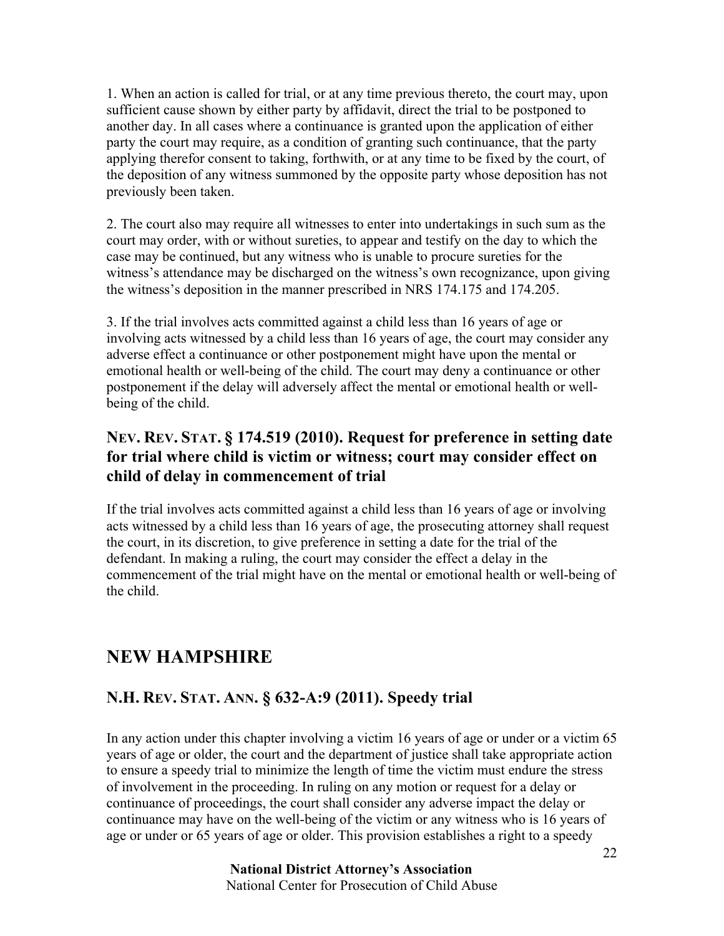1. When an action is called for trial, or at any time previous thereto, the court may, upon sufficient cause shown by either party by affidavit, direct the trial to be postponed to another day. In all cases where a continuance is granted upon the application of either party the court may require, as a condition of granting such continuance, that the party applying therefor consent to taking, forthwith, or at any time to be fixed by the court, of the deposition of any witness summoned by the opposite party whose deposition has not previously been taken.

2. The court also may require all witnesses to enter into undertakings in such sum as the court may order, with or without sureties, to appear and testify on the day to which the case may be continued, but any witness who is unable to procure sureties for the witness's attendance may be discharged on the witness's own recognizance, upon giving the witness's deposition in the manner prescribed in NRS 174.175 and 174.205.

3. If the trial involves acts committed against a child less than 16 years of age or involving acts witnessed by a child less than 16 years of age, the court may consider any adverse effect a continuance or other postponement might have upon the mental or emotional health or well-being of the child. The court may deny a continuance or other postponement if the delay will adversely affect the mental or emotional health or wellbeing of the child.

## **NEV. REV. STAT. § 174.519 (2010). Request for preference in setting date for trial where child is victim or witness; court may consider effect on child of delay in commencement of trial**

If the trial involves acts committed against a child less than 16 years of age or involving acts witnessed by a child less than 16 years of age, the prosecuting attorney shall request the court, in its discretion, to give preference in setting a date for the trial of the defendant. In making a ruling, the court may consider the effect a delay in the commencement of the trial might have on the mental or emotional health or well-being of the child.

# **NEW HAMPSHIRE**

## **N.H. REV. STAT. ANN. § 632-A:9 (2011). Speedy trial**

In any action under this chapter involving a victim 16 years of age or under or a victim 65 years of age or older, the court and the department of justice shall take appropriate action to ensure a speedy trial to minimize the length of time the victim must endure the stress of involvement in the proceeding. In ruling on any motion or request for a delay or continuance of proceedings, the court shall consider any adverse impact the delay or continuance may have on the well-being of the victim or any witness who is 16 years of age or under or 65 years of age or older. This provision establishes a right to a speedy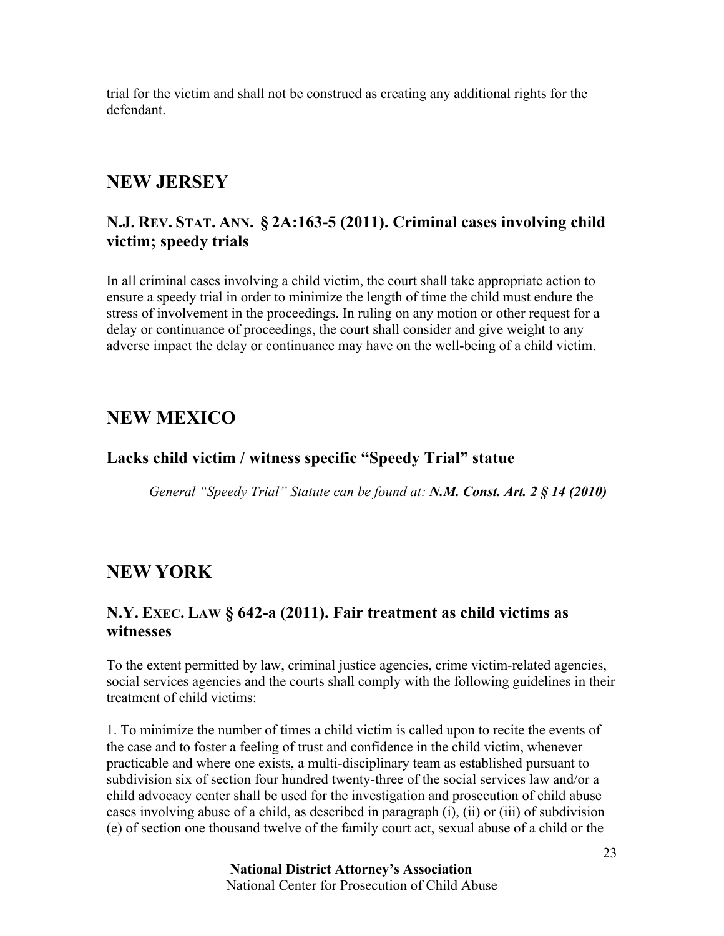trial for the victim and shall not be construed as creating any additional rights for the defendant.

## **NEW JERSEY**

## **N.J. REV. STAT. ANN. § 2A:163-5 (2011). Criminal cases involving child victim; speedy trials**

In all criminal cases involving a child victim, the court shall take appropriate action to ensure a speedy trial in order to minimize the length of time the child must endure the stress of involvement in the proceedings. In ruling on any motion or other request for a delay or continuance of proceedings, the court shall consider and give weight to any adverse impact the delay or continuance may have on the well-being of a child victim.

## **NEW MEXICO**

#### **Lacks child victim / witness specific "Speedy Trial" statue**

*General "Speedy Trial" Statute can be found at: N.M. Const. Art. 2 § 14 (2010)*

## **NEW YORK**

## **N.Y. EXEC. LAW § 642-a (2011). Fair treatment as child victims as witnesses**

To the extent permitted by law, criminal justice agencies, crime victim-related agencies, social services agencies and the courts shall comply with the following guidelines in their treatment of child victims:

1. To minimize the number of times a child victim is called upon to recite the events of the case and to foster a feeling of trust and confidence in the child victim, whenever practicable and where one exists, a multi-disciplinary team as established pursuant to subdivision six of section four hundred twenty-three of the social services law and/or a child advocacy center shall be used for the investigation and prosecution of child abuse cases involving abuse of a child, as described in paragraph (i), (ii) or (iii) of subdivision (e) of section one thousand twelve of the family court act, sexual abuse of a child or the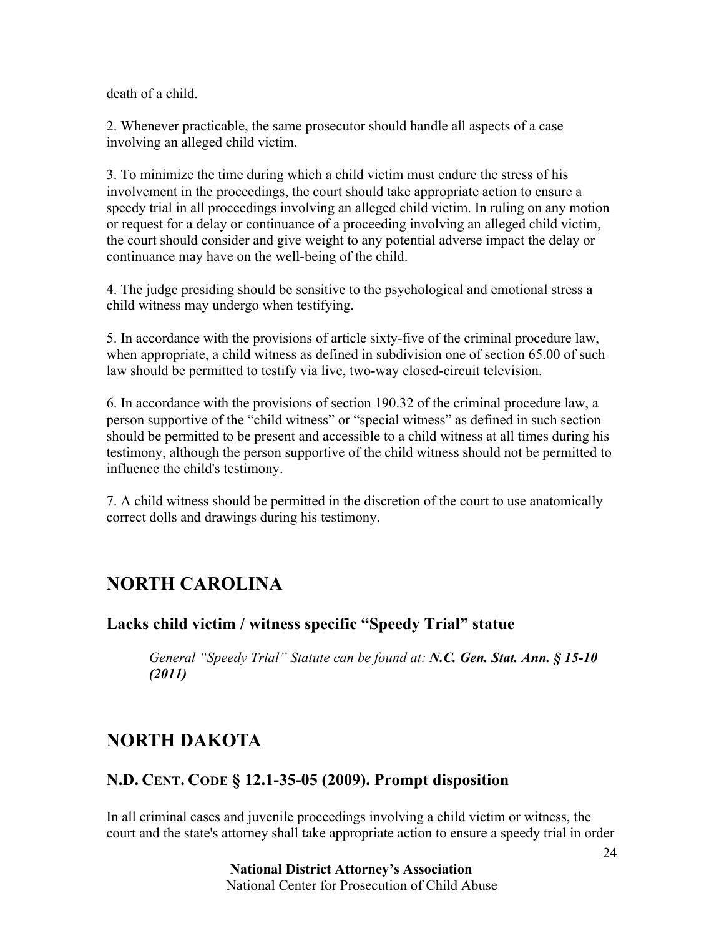death of a child.

2. Whenever practicable, the same prosecutor should handle all aspects of a case involving an alleged child victim.

3. To minimize the time during which a child victim must endure the stress of his involvement in the proceedings, the court should take appropriate action to ensure a speedy trial in all proceedings involving an alleged child victim. In ruling on any motion or request for a delay or continuance of a proceeding involving an alleged child victim, the court should consider and give weight to any potential adverse impact the delay or continuance may have on the well-being of the child.

4. The judge presiding should be sensitive to the psychological and emotional stress a child witness may undergo when testifying.

5. In accordance with the provisions of article sixty-five of the criminal procedure law, when appropriate, a child witness as defined in subdivision one of section 65.00 of such law should be permitted to testify via live, two-way closed-circuit television.

6. In accordance with the provisions of section 190.32 of the criminal procedure law, a person supportive of the "child witness" or "special witness" as defined in such section should be permitted to be present and accessible to a child witness at all times during his testimony, although the person supportive of the child witness should not be permitted to influence the child's testimony.

7. A child witness should be permitted in the discretion of the court to use anatomically correct dolls and drawings during his testimony.

# **NORTH CAROLINA**

## **Lacks child victim / witness specific "Speedy Trial" statue**

*General "Speedy Trial" Statute can be found at: N.C. Gen. Stat. Ann. § 15-10 (2011)*

# **NORTH DAKOTA**

## **N.D. CENT. CODE § 12.1-35-05 (2009). Prompt disposition**

In all criminal cases and juvenile proceedings involving a child victim or witness, the court and the state's attorney shall take appropriate action to ensure a speedy trial in order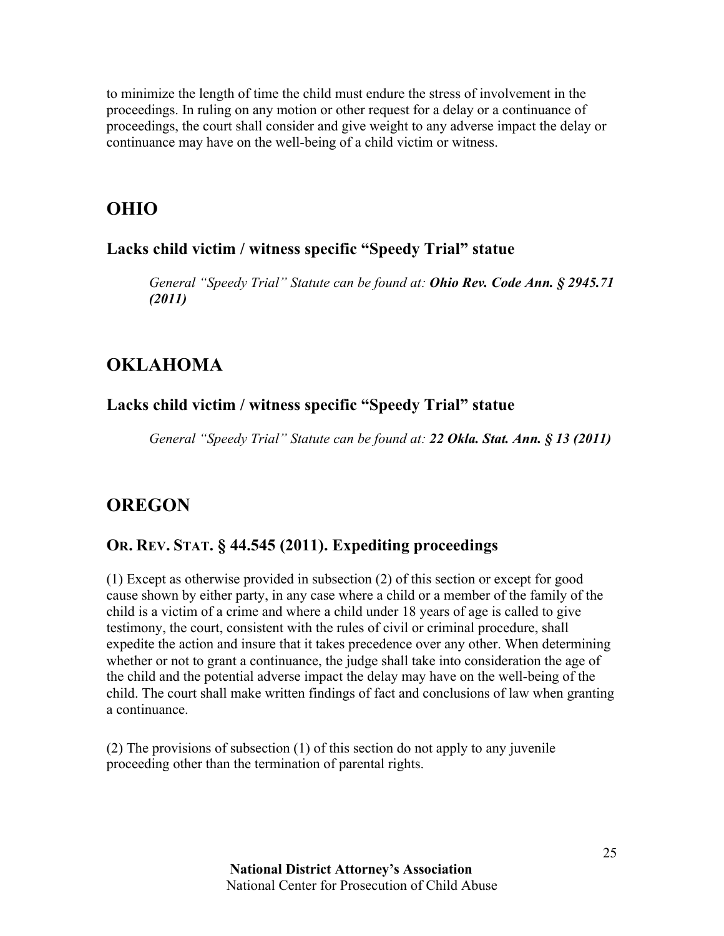to minimize the length of time the child must endure the stress of involvement in the proceedings. In ruling on any motion or other request for a delay or a continuance of proceedings, the court shall consider and give weight to any adverse impact the delay or continuance may have on the well-being of a child victim or witness.

## **OHIO**

#### **Lacks child victim / witness specific "Speedy Trial" statue**

*General "Speedy Trial" Statute can be found at: Ohio Rev. Code Ann. § 2945.71 (2011)*

## **OKLAHOMA**

## **Lacks child victim / witness specific "Speedy Trial" statue**

*General "Speedy Trial" Statute can be found at: 22 Okla. Stat. Ann. § 13 (2011)*

## **OREGON**

#### **OR. REV. STAT. § 44.545 (2011). Expediting proceedings**

(1) Except as otherwise provided in subsection (2) of this section or except for good cause shown by either party, in any case where a child or a member of the family of the child is a victim of a crime and where a child under 18 years of age is called to give testimony, the court, consistent with the rules of civil or criminal procedure, shall expedite the action and insure that it takes precedence over any other. When determining whether or not to grant a continuance, the judge shall take into consideration the age of the child and the potential adverse impact the delay may have on the well-being of the child. The court shall make written findings of fact and conclusions of law when granting a continuance.

(2) The provisions of subsection (1) of this section do not apply to any juvenile proceeding other than the termination of parental rights.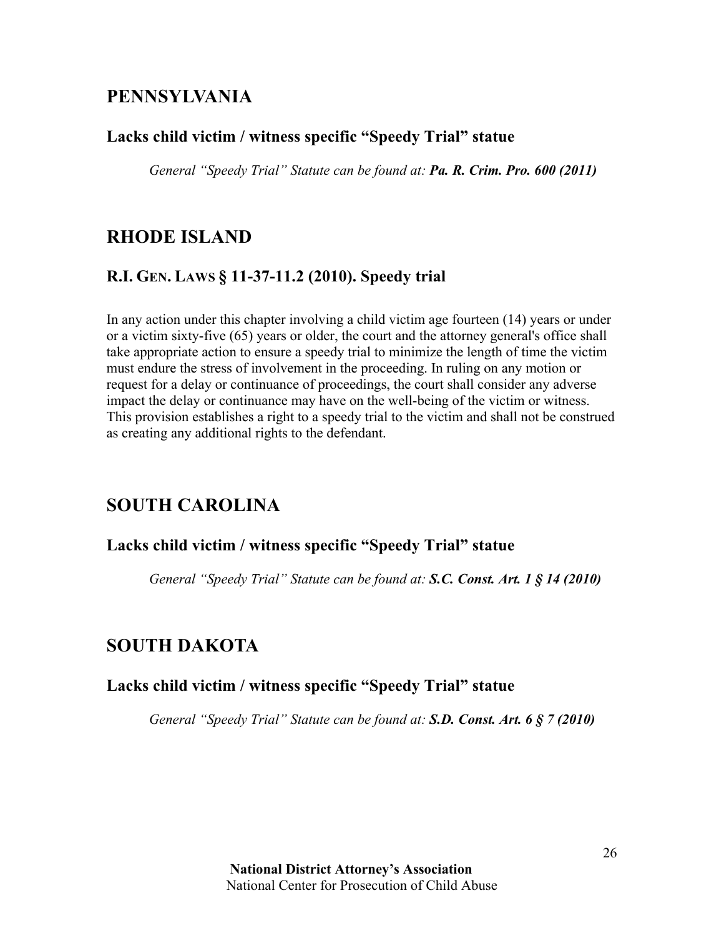## **PENNSYLVANIA**

#### **Lacks child victim / witness specific "Speedy Trial" statue**

*General "Speedy Trial" Statute can be found at: Pa. R. Crim. Pro. 600 (2011)*

## **RHODE ISLAND**

#### **R.I. GEN. LAWS § 11-37-11.2 (2010). Speedy trial**

In any action under this chapter involving a child victim age fourteen (14) years or under or a victim sixty-five (65) years or older, the court and the attorney general's office shall take appropriate action to ensure a speedy trial to minimize the length of time the victim must endure the stress of involvement in the proceeding. In ruling on any motion or request for a delay or continuance of proceedings, the court shall consider any adverse impact the delay or continuance may have on the well-being of the victim or witness. This provision establishes a right to a speedy trial to the victim and shall not be construed as creating any additional rights to the defendant.

## **SOUTH CAROLINA**

#### **Lacks child victim / witness specific "Speedy Trial" statue**

*General "Speedy Trial" Statute can be found at: S.C. Const. Art. 1 § 14 (2010)*

## **SOUTH DAKOTA**

#### **Lacks child victim / witness specific "Speedy Trial" statue**

*General "Speedy Trial" Statute can be found at: S.D. Const. Art. 6 § 7 (2010)*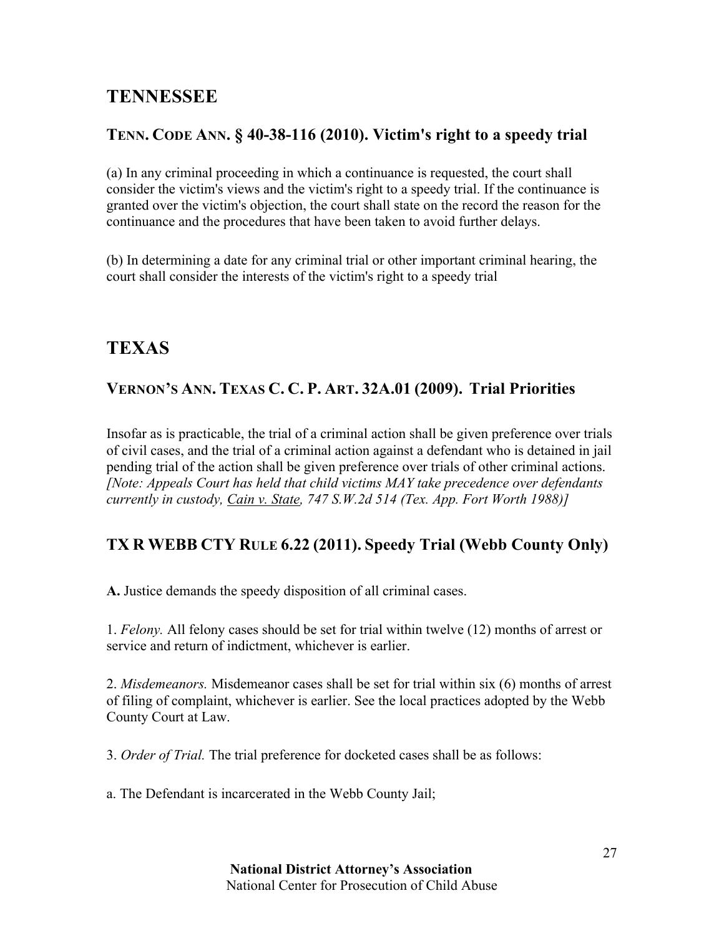# **TENNESSEE**

## **TENN. CODE ANN. § 40-38-116 (2010). Victim's right to a speedy trial**

(a) In any criminal proceeding in which a continuance is requested, the court shall consider the victim's views and the victim's right to a speedy trial. If the continuance is granted over the victim's objection, the court shall state on the record the reason for the continuance and the procedures that have been taken to avoid further delays.

(b) In determining a date for any criminal trial or other important criminal hearing, the court shall consider the interests of the victim's right to a speedy trial

# **TEXAS**

## **VERNON'S ANN. TEXAS C. C. P. ART. 32A.01 (2009). Trial Priorities**

Insofar as is practicable, the trial of a criminal action shall be given preference over trials of civil cases, and the trial of a criminal action against a defendant who is detained in jail pending trial of the action shall be given preference over trials of other criminal actions. *[Note: Appeals Court has held that child victims MAY take precedence over defendants currently in custody, Cain v. State, 747 S.W.2d 514 (Tex. App. Fort Worth 1988)]*

## **TX R WEBB CTY RULE 6.22 (2011). Speedy Trial (Webb County Only)**

**A.** Justice demands the speedy disposition of all criminal cases.

1. *Felony.* All felony cases should be set for trial within twelve (12) months of arrest or service and return of indictment, whichever is earlier.

2. *Misdemeanors.* Misdemeanor cases shall be set for trial within six (6) months of arrest of filing of complaint, whichever is earlier. See the local practices adopted by the Webb County Court at Law.

3. *Order of Trial.* The trial preference for docketed cases shall be as follows:

a. The Defendant is incarcerated in the Webb County Jail;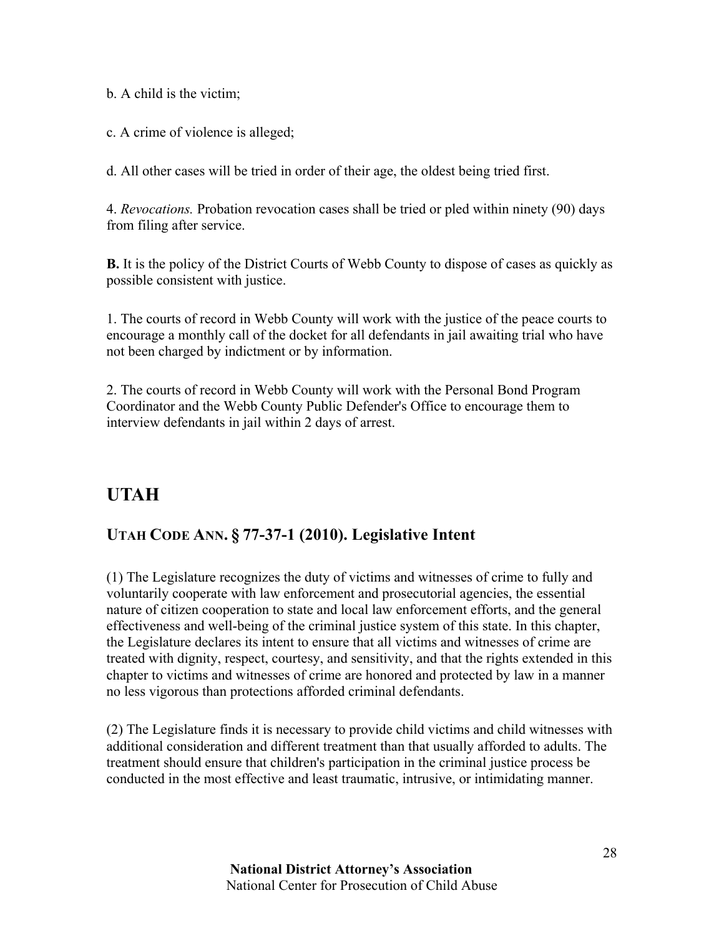b. A child is the victim;

c. A crime of violence is alleged;

d. All other cases will be tried in order of their age, the oldest being tried first.

4. *Revocations.* Probation revocation cases shall be tried or pled within ninety (90) days from filing after service.

**B.** It is the policy of the District Courts of Webb County to dispose of cases as quickly as possible consistent with justice.

1. The courts of record in Webb County will work with the justice of the peace courts to encourage a monthly call of the docket for all defendants in jail awaiting trial who have not been charged by indictment or by information.

2. The courts of record in Webb County will work with the Personal Bond Program Coordinator and the Webb County Public Defender's Office to encourage them to interview defendants in jail within 2 days of arrest.

# **UTAH**

## **UTAH CODE ANN. § 77-37-1 (2010). Legislative Intent**

(1) The Legislature recognizes the duty of victims and witnesses of crime to fully and voluntarily cooperate with law enforcement and prosecutorial agencies, the essential nature of citizen cooperation to state and local law enforcement efforts, and the general effectiveness and well-being of the criminal justice system of this state. In this chapter, the Legislature declares its intent to ensure that all victims and witnesses of crime are treated with dignity, respect, courtesy, and sensitivity, and that the rights extended in this chapter to victims and witnesses of crime are honored and protected by law in a manner no less vigorous than protections afforded criminal defendants.

(2) The Legislature finds it is necessary to provide child victims and child witnesses with additional consideration and different treatment than that usually afforded to adults. The treatment should ensure that children's participation in the criminal justice process be conducted in the most effective and least traumatic, intrusive, or intimidating manner.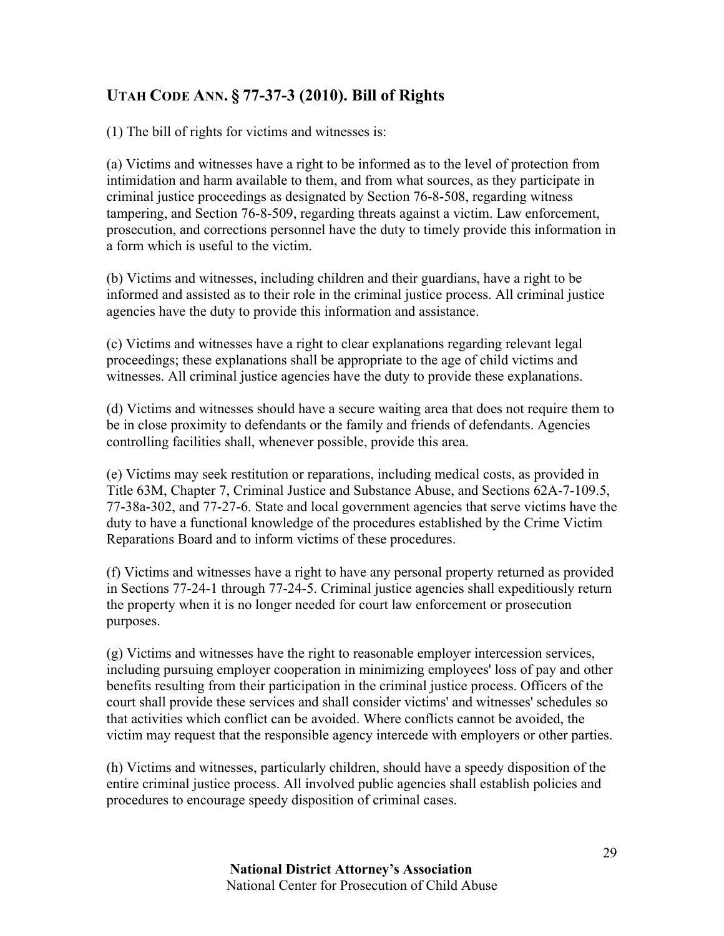## **UTAH CODE ANN. § 77-37-3 (2010). Bill of Rights**

(1) The bill of rights for victims and witnesses is:

(a) Victims and witnesses have a right to be informed as to the level of protection from intimidation and harm available to them, and from what sources, as they participate in criminal justice proceedings as designated by Section 76-8-508, regarding witness tampering, and Section 76-8-509, regarding threats against a victim. Law enforcement, prosecution, and corrections personnel have the duty to timely provide this information in a form which is useful to the victim.

(b) Victims and witnesses, including children and their guardians, have a right to be informed and assisted as to their role in the criminal justice process. All criminal justice agencies have the duty to provide this information and assistance.

(c) Victims and witnesses have a right to clear explanations regarding relevant legal proceedings; these explanations shall be appropriate to the age of child victims and witnesses. All criminal justice agencies have the duty to provide these explanations.

(d) Victims and witnesses should have a secure waiting area that does not require them to be in close proximity to defendants or the family and friends of defendants. Agencies controlling facilities shall, whenever possible, provide this area.

(e) Victims may seek restitution or reparations, including medical costs, as provided in Title 63M, Chapter 7, Criminal Justice and Substance Abuse, and Sections 62A-7-109.5, 77-38a-302, and 77-27-6. State and local government agencies that serve victims have the duty to have a functional knowledge of the procedures established by the Crime Victim Reparations Board and to inform victims of these procedures.

(f) Victims and witnesses have a right to have any personal property returned as provided in Sections 77-24-1 through 77-24-5. Criminal justice agencies shall expeditiously return the property when it is no longer needed for court law enforcement or prosecution purposes.

(g) Victims and witnesses have the right to reasonable employer intercession services, including pursuing employer cooperation in minimizing employees' loss of pay and other benefits resulting from their participation in the criminal justice process. Officers of the court shall provide these services and shall consider victims' and witnesses' schedules so that activities which conflict can be avoided. Where conflicts cannot be avoided, the victim may request that the responsible agency intercede with employers or other parties.

(h) Victims and witnesses, particularly children, should have a speedy disposition of the entire criminal justice process. All involved public agencies shall establish policies and procedures to encourage speedy disposition of criminal cases.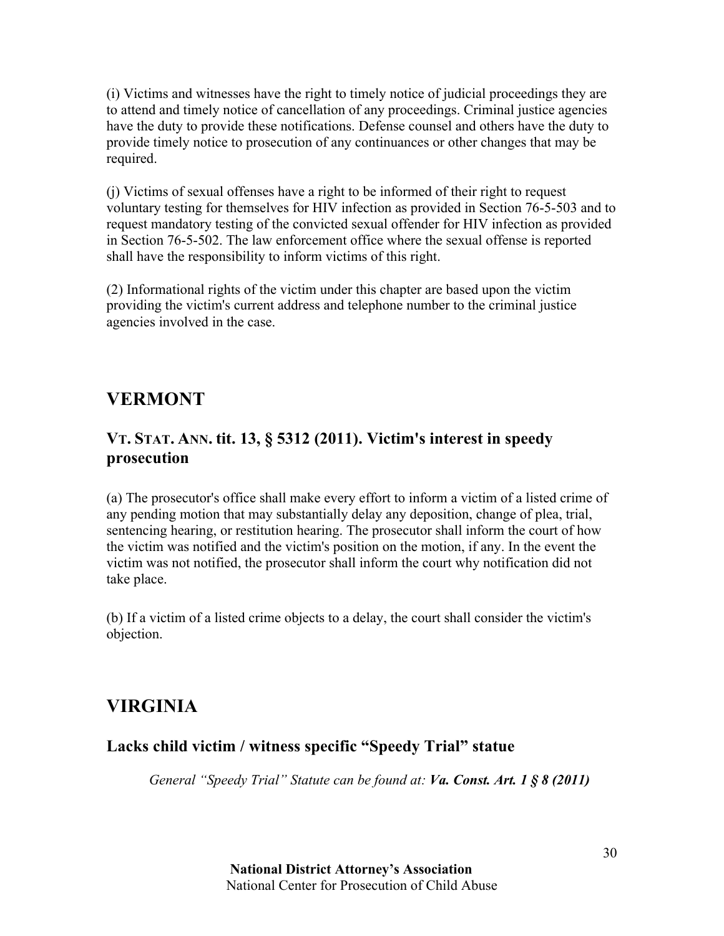(i) Victims and witnesses have the right to timely notice of judicial proceedings they are to attend and timely notice of cancellation of any proceedings. Criminal justice agencies have the duty to provide these notifications. Defense counsel and others have the duty to provide timely notice to prosecution of any continuances or other changes that may be required.

(j) Victims of sexual offenses have a right to be informed of their right to request voluntary testing for themselves for HIV infection as provided in Section 76-5-503 and to request mandatory testing of the convicted sexual offender for HIV infection as provided in Section 76-5-502. The law enforcement office where the sexual offense is reported shall have the responsibility to inform victims of this right.

(2) Informational rights of the victim under this chapter are based upon the victim providing the victim's current address and telephone number to the criminal justice agencies involved in the case.

# **VERMONT**

## **VT. STAT. ANN. tit. 13, § 5312 (2011). Victim's interest in speedy prosecution**

(a) The prosecutor's office shall make every effort to inform a victim of a listed crime of any pending motion that may substantially delay any deposition, change of plea, trial, sentencing hearing, or restitution hearing. The prosecutor shall inform the court of how the victim was notified and the victim's position on the motion, if any. In the event the victim was not notified, the prosecutor shall inform the court why notification did not take place.

(b) If a victim of a listed crime objects to a delay, the court shall consider the victim's objection.

# **VIRGINIA**

## **Lacks child victim / witness specific "Speedy Trial" statue**

*General "Speedy Trial" Statute can be found at: Va. Const. Art. 1 § 8 (2011)*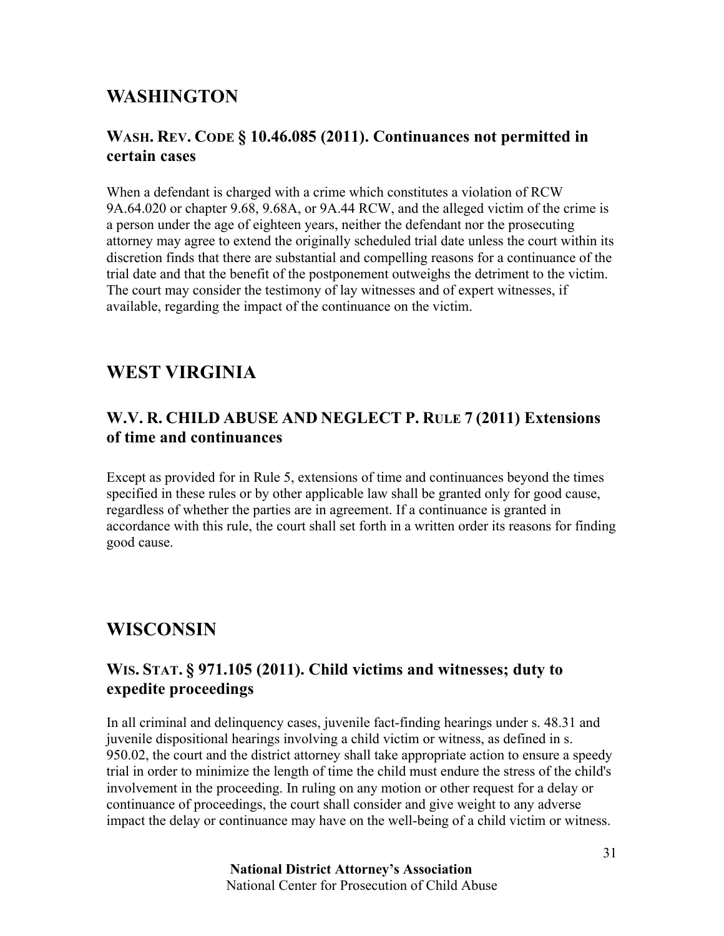# **WASHINGTON**

## **WASH. REV. CODE § 10.46.085 (2011). Continuances not permitted in certain cases**

When a defendant is charged with a crime which constitutes a violation of RCW 9A.64.020 or chapter 9.68, 9.68A, or 9A.44 RCW, and the alleged victim of the crime is a person under the age of eighteen years, neither the defendant nor the prosecuting attorney may agree to extend the originally scheduled trial date unless the court within its discretion finds that there are substantial and compelling reasons for a continuance of the trial date and that the benefit of the postponement outweighs the detriment to the victim. The court may consider the testimony of lay witnesses and of expert witnesses, if available, regarding the impact of the continuance on the victim.

## **WEST VIRGINIA**

## **W.V. R. CHILD ABUSE AND NEGLECT P. RULE 7 (2011) Extensions of time and continuances**

Except as provided for in Rule 5, extensions of time and continuances beyond the times specified in these rules or by other applicable law shall be granted only for good cause, regardless of whether the parties are in agreement. If a continuance is granted in accordance with this rule, the court shall set forth in a written order its reasons for finding good cause.

## **WISCONSIN**

#### **WIS. STAT. § 971.105 (2011). Child victims and witnesses; duty to expedite proceedings**

In all criminal and delinquency cases, juvenile fact-finding hearings under s. 48.31 and juvenile dispositional hearings involving a child victim or witness, as defined in s. 950.02, the court and the district attorney shall take appropriate action to ensure a speedy trial in order to minimize the length of time the child must endure the stress of the child's involvement in the proceeding. In ruling on any motion or other request for a delay or continuance of proceedings, the court shall consider and give weight to any adverse impact the delay or continuance may have on the well-being of a child victim or witness.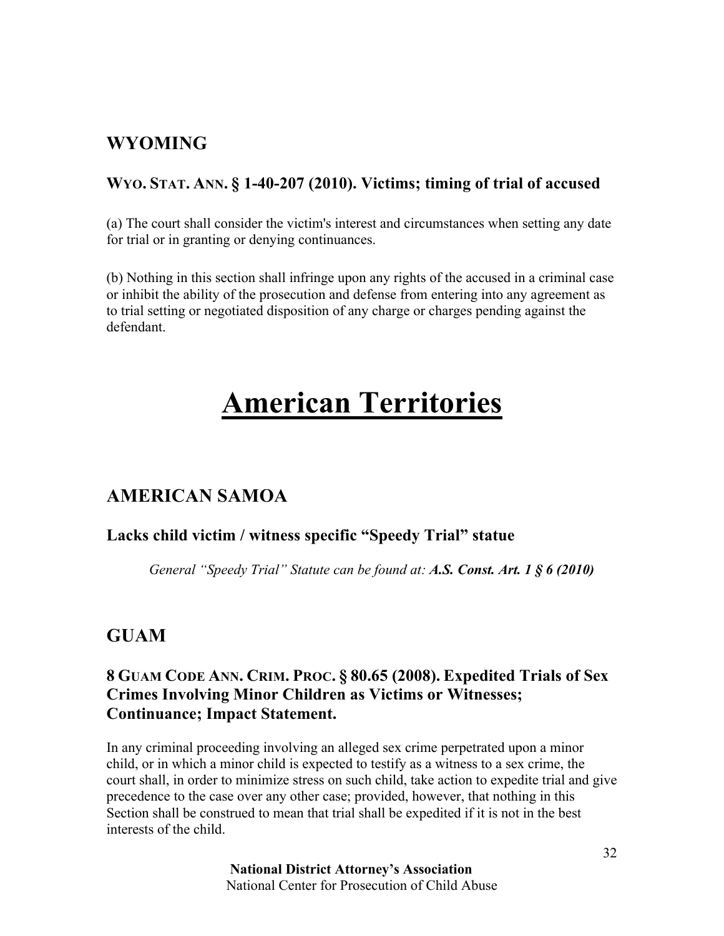## **WYOMING**

## **WYO. STAT. ANN. § 1-40-207 (2010). Victims; timing of trial of accused**

(a) The court shall consider the victim's interest and circumstances when setting any date for trial or in granting or denying continuances.

(b) Nothing in this section shall infringe upon any rights of the accused in a criminal case or inhibit the ability of the prosecution and defense from entering into any agreement as to trial setting or negotiated disposition of any charge or charges pending against the defendant.

# **American Territories**

# **AMERICAN SAMOA**

## **Lacks child victim / witness specific "Speedy Trial" statue**

*General "Speedy Trial" Statute can be found at: A.S. Const. Art. 1 § 6 (2010)*

## **GUAM**

## **8 GUAM CODE ANN. CRIM. PROC. § 80.65 (2008). Expedited Trials of Sex Crimes Involving Minor Children as Victims or Witnesses; Continuance; Impact Statement.**

In any criminal proceeding involving an alleged sex crime perpetrated upon a minor child, or in which a minor child is expected to testify as a witness to a sex crime, the court shall, in order to minimize stress on such child, take action to expedite trial and give precedence to the case over any other case; provided, however, that nothing in this Section shall be construed to mean that trial shall be expedited if it is not in the best interests of the child.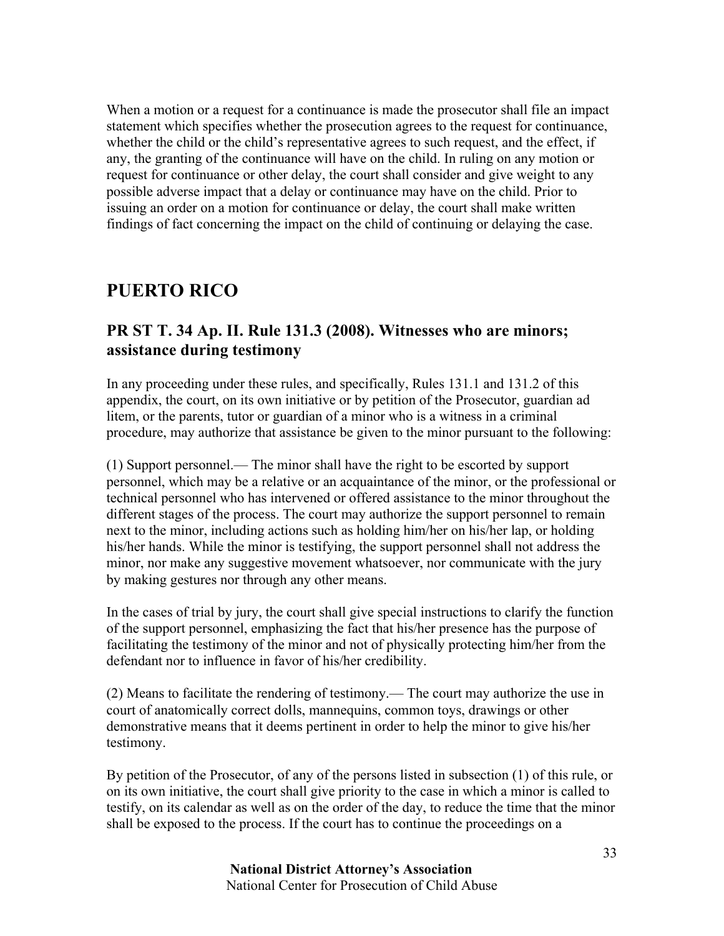When a motion or a request for a continuance is made the prosecutor shall file an impact statement which specifies whether the prosecution agrees to the request for continuance, whether the child or the child's representative agrees to such request, and the effect, if any, the granting of the continuance will have on the child. In ruling on any motion or request for continuance or other delay, the court shall consider and give weight to any possible adverse impact that a delay or continuance may have on the child. Prior to issuing an order on a motion for continuance or delay, the court shall make written findings of fact concerning the impact on the child of continuing or delaying the case.

## **PUERTO RICO**

## **PR ST T. 34 Ap. II. Rule 131.3 (2008). Witnesses who are minors; assistance during testimony**

In any proceeding under these rules, and specifically, Rules 131.1 and 131.2 of this appendix, the court, on its own initiative or by petition of the Prosecutor, guardian ad litem, or the parents, tutor or guardian of a minor who is a witness in a criminal procedure, may authorize that assistance be given to the minor pursuant to the following:

(1) Support personnel.— The minor shall have the right to be escorted by support personnel, which may be a relative or an acquaintance of the minor, or the professional or technical personnel who has intervened or offered assistance to the minor throughout the different stages of the process. The court may authorize the support personnel to remain next to the minor, including actions such as holding him/her on his/her lap, or holding his/her hands. While the minor is testifying, the support personnel shall not address the minor, nor make any suggestive movement whatsoever, nor communicate with the jury by making gestures nor through any other means.

In the cases of trial by jury, the court shall give special instructions to clarify the function of the support personnel, emphasizing the fact that his/her presence has the purpose of facilitating the testimony of the minor and not of physically protecting him/her from the defendant nor to influence in favor of his/her credibility.

(2) Means to facilitate the rendering of testimony.— The court may authorize the use in court of anatomically correct dolls, mannequins, common toys, drawings or other demonstrative means that it deems pertinent in order to help the minor to give his/her testimony.

By petition of the Prosecutor, of any of the persons listed in subsection (1) of this rule, or on its own initiative, the court shall give priority to the case in which a minor is called to testify, on its calendar as well as on the order of the day, to reduce the time that the minor shall be exposed to the process. If the court has to continue the proceedings on a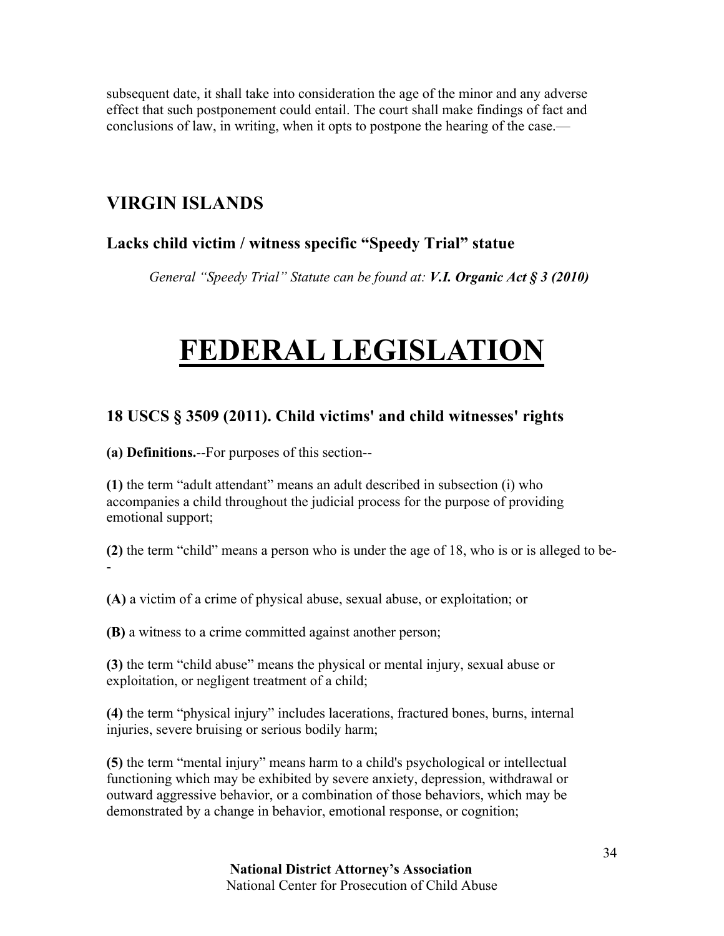subsequent date, it shall take into consideration the age of the minor and any adverse effect that such postponement could entail. The court shall make findings of fact and conclusions of law, in writing, when it opts to postpone the hearing of the case.—

## **VIRGIN ISLANDS**

## **Lacks child victim / witness specific "Speedy Trial" statue**

*General "Speedy Trial" Statute can be found at: V.I. Organic Act § 3 (2010)*

# **FEDERAL LEGISLATION**

## **18 USCS § 3509 (2011). Child victims' and child witnesses' rights**

**(a) Definitions.**--For purposes of this section--

**(1)** the term "adult attendant" means an adult described in subsection (i) who accompanies a child throughout the judicial process for the purpose of providing emotional support;

**(2)** the term "child" means a person who is under the age of 18, who is or is alleged to be- -

**(A)** a victim of a crime of physical abuse, sexual abuse, or exploitation; or

**(B)** a witness to a crime committed against another person;

**(3)** the term "child abuse" means the physical or mental injury, sexual abuse or exploitation, or negligent treatment of a child;

**(4)** the term "physical injury" includes lacerations, fractured bones, burns, internal injuries, severe bruising or serious bodily harm;

**(5)** the term "mental injury" means harm to a child's psychological or intellectual functioning which may be exhibited by severe anxiety, depression, withdrawal or outward aggressive behavior, or a combination of those behaviors, which may be demonstrated by a change in behavior, emotional response, or cognition;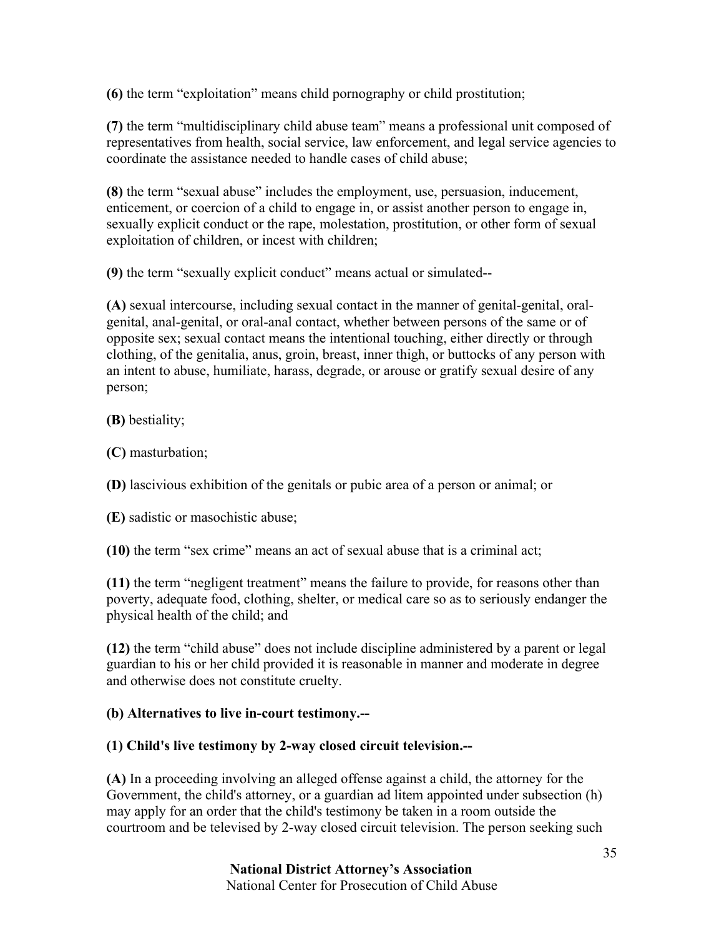**(6)** the term "exploitation" means child pornography or child prostitution;

**(7)** the term "multidisciplinary child abuse team" means a professional unit composed of representatives from health, social service, law enforcement, and legal service agencies to coordinate the assistance needed to handle cases of child abuse;

**(8)** the term "sexual abuse" includes the employment, use, persuasion, inducement, enticement, or coercion of a child to engage in, or assist another person to engage in, sexually explicit conduct or the rape, molestation, prostitution, or other form of sexual exploitation of children, or incest with children;

**(9)** the term "sexually explicit conduct" means actual or simulated--

**(A)** sexual intercourse, including sexual contact in the manner of genital-genital, oralgenital, anal-genital, or oral-anal contact, whether between persons of the same or of opposite sex; sexual contact means the intentional touching, either directly or through clothing, of the genitalia, anus, groin, breast, inner thigh, or buttocks of any person with an intent to abuse, humiliate, harass, degrade, or arouse or gratify sexual desire of any person;

**(B)** bestiality;

**(C)** masturbation;

**(D)** lascivious exhibition of the genitals or pubic area of a person or animal; or

**(E)** sadistic or masochistic abuse;

**(10)** the term "sex crime" means an act of sexual abuse that is a criminal act;

**(11)** the term "negligent treatment" means the failure to provide, for reasons other than poverty, adequate food, clothing, shelter, or medical care so as to seriously endanger the physical health of the child; and

**(12)** the term "child abuse" does not include discipline administered by a parent or legal guardian to his or her child provided it is reasonable in manner and moderate in degree and otherwise does not constitute cruelty.

## **(b) Alternatives to live in-court testimony.--**

## **(1) Child's live testimony by 2-way closed circuit television.--**

**(A)** In a proceeding involving an alleged offense against a child, the attorney for the Government, the child's attorney, or a guardian ad litem appointed under subsection (h) may apply for an order that the child's testimony be taken in a room outside the courtroom and be televised by 2-way closed circuit television. The person seeking such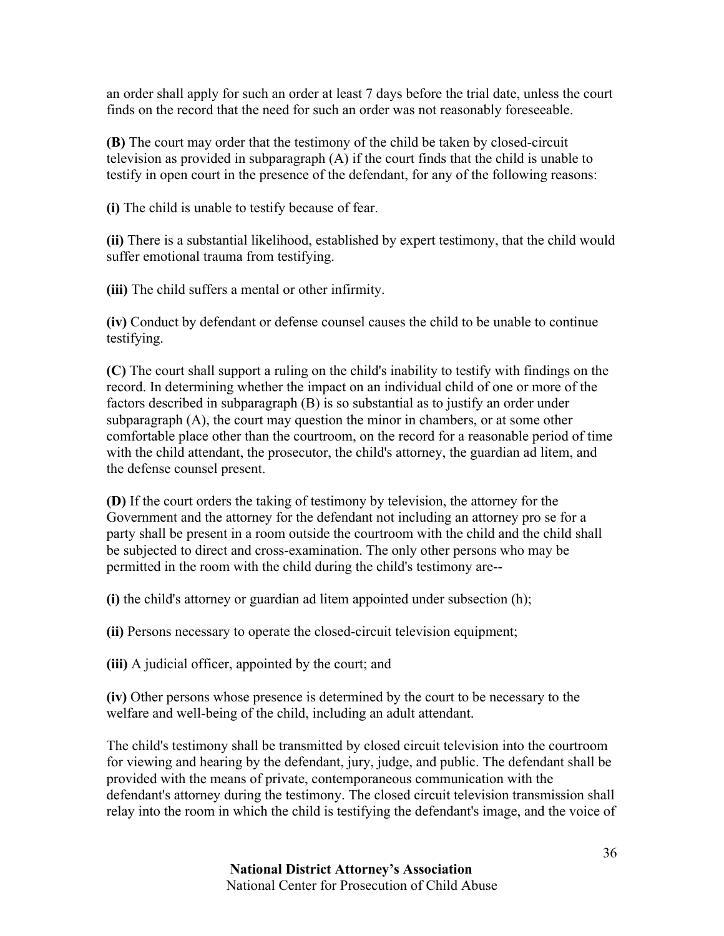an order shall apply for such an order at least 7 days before the trial date, unless the court finds on the record that the need for such an order was not reasonably foreseeable.

**(B)** The court may order that the testimony of the child be taken by closed-circuit television as provided in subparagraph (A) if the court finds that the child is unable to testify in open court in the presence of the defendant, for any of the following reasons:

**(i)** The child is unable to testify because of fear.

**(ii)** There is a substantial likelihood, established by expert testimony, that the child would suffer emotional trauma from testifying.

**(iii)** The child suffers a mental or other infirmity.

**(iv)** Conduct by defendant or defense counsel causes the child to be unable to continue testifying.

**(C)** The court shall support a ruling on the child's inability to testify with findings on the record. In determining whether the impact on an individual child of one or more of the factors described in subparagraph (B) is so substantial as to justify an order under subparagraph (A), the court may question the minor in chambers, or at some other comfortable place other than the courtroom, on the record for a reasonable period of time with the child attendant, the prosecutor, the child's attorney, the guardian ad litem, and the defense counsel present.

**(D)** If the court orders the taking of testimony by television, the attorney for the Government and the attorney for the defendant not including an attorney pro se for a party shall be present in a room outside the courtroom with the child and the child shall be subjected to direct and cross-examination. The only other persons who may be permitted in the room with the child during the child's testimony are--

**(i)** the child's attorney or guardian ad litem appointed under subsection (h);

**(ii)** Persons necessary to operate the closed-circuit television equipment;

**(iii)** A judicial officer, appointed by the court; and

**(iv)** Other persons whose presence is determined by the court to be necessary to the welfare and well-being of the child, including an adult attendant.

The child's testimony shall be transmitted by closed circuit television into the courtroom for viewing and hearing by the defendant, jury, judge, and public. The defendant shall be provided with the means of private, contemporaneous communication with the defendant's attorney during the testimony. The closed circuit television transmission shall relay into the room in which the child is testifying the defendant's image, and the voice of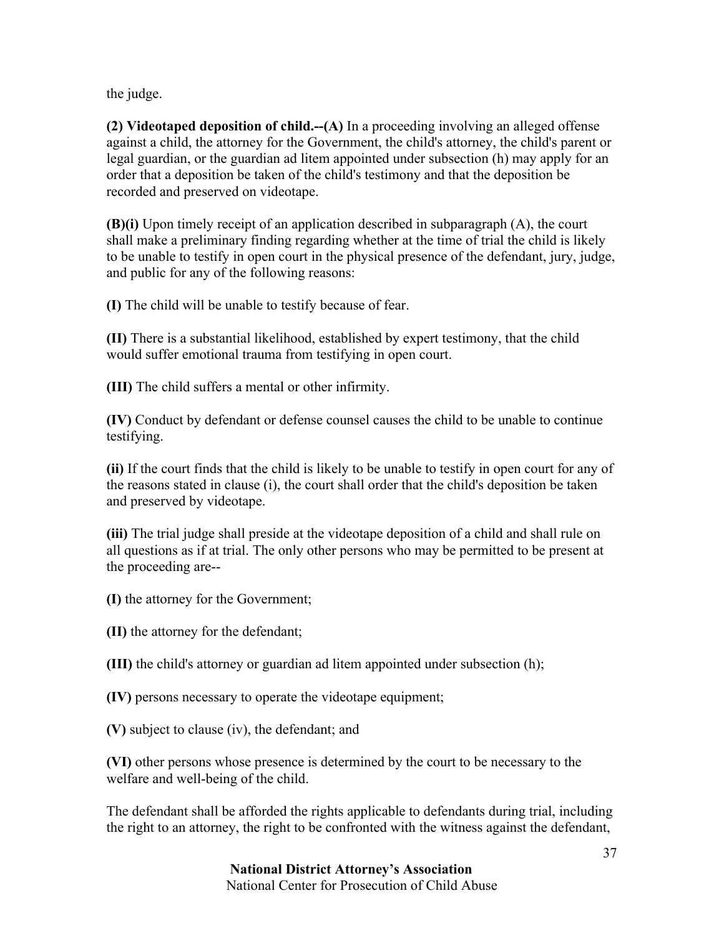the judge.

**(2) Videotaped deposition of child.--(A)** In a proceeding involving an alleged offense against a child, the attorney for the Government, the child's attorney, the child's parent or legal guardian, or the guardian ad litem appointed under subsection (h) may apply for an order that a deposition be taken of the child's testimony and that the deposition be recorded and preserved on videotape.

**(B)(i)** Upon timely receipt of an application described in subparagraph (A), the court shall make a preliminary finding regarding whether at the time of trial the child is likely to be unable to testify in open court in the physical presence of the defendant, jury, judge, and public for any of the following reasons:

**(I)** The child will be unable to testify because of fear.

**(II)** There is a substantial likelihood, established by expert testimony, that the child would suffer emotional trauma from testifying in open court.

**(III)** The child suffers a mental or other infirmity.

**(IV)** Conduct by defendant or defense counsel causes the child to be unable to continue testifying.

**(ii)** If the court finds that the child is likely to be unable to testify in open court for any of the reasons stated in clause (i), the court shall order that the child's deposition be taken and preserved by videotape.

**(iii)** The trial judge shall preside at the videotape deposition of a child and shall rule on all questions as if at trial. The only other persons who may be permitted to be present at the proceeding are--

**(I)** the attorney for the Government;

**(II)** the attorney for the defendant;

**(III)** the child's attorney or guardian ad litem appointed under subsection (h);

**(IV)** persons necessary to operate the videotape equipment;

**(V)** subject to clause (iv), the defendant; and

**(VI)** other persons whose presence is determined by the court to be necessary to the welfare and well-being of the child.

The defendant shall be afforded the rights applicable to defendants during trial, including the right to an attorney, the right to be confronted with the witness against the defendant,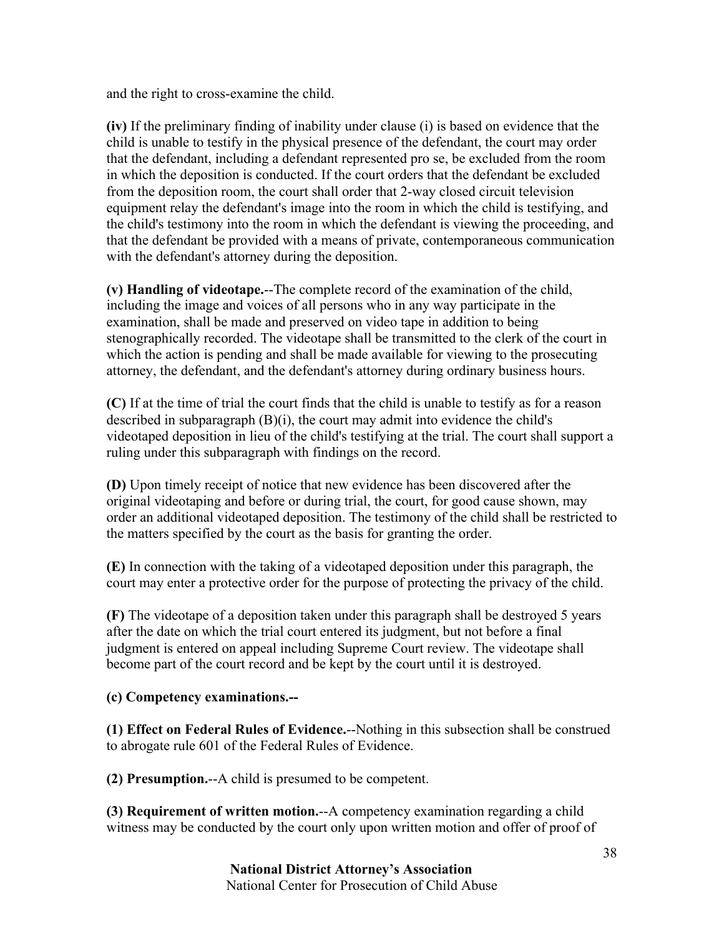and the right to cross-examine the child.

**(iv)** If the preliminary finding of inability under clause (i) is based on evidence that the child is unable to testify in the physical presence of the defendant, the court may order that the defendant, including a defendant represented pro se, be excluded from the room in which the deposition is conducted. If the court orders that the defendant be excluded from the deposition room, the court shall order that 2-way closed circuit television equipment relay the defendant's image into the room in which the child is testifying, and the child's testimony into the room in which the defendant is viewing the proceeding, and that the defendant be provided with a means of private, contemporaneous communication with the defendant's attorney during the deposition.

**(v) Handling of videotape.**--The complete record of the examination of the child, including the image and voices of all persons who in any way participate in the examination, shall be made and preserved on video tape in addition to being stenographically recorded. The videotape shall be transmitted to the clerk of the court in which the action is pending and shall be made available for viewing to the prosecuting attorney, the defendant, and the defendant's attorney during ordinary business hours.

**(C)** If at the time of trial the court finds that the child is unable to testify as for a reason described in subparagraph (B)(i), the court may admit into evidence the child's videotaped deposition in lieu of the child's testifying at the trial. The court shall support a ruling under this subparagraph with findings on the record.

**(D)** Upon timely receipt of notice that new evidence has been discovered after the original videotaping and before or during trial, the court, for good cause shown, may order an additional videotaped deposition. The testimony of the child shall be restricted to the matters specified by the court as the basis for granting the order.

**(E)** In connection with the taking of a videotaped deposition under this paragraph, the court may enter a protective order for the purpose of protecting the privacy of the child.

**(F)** The videotape of a deposition taken under this paragraph shall be destroyed 5 years after the date on which the trial court entered its judgment, but not before a final judgment is entered on appeal including Supreme Court review. The videotape shall become part of the court record and be kept by the court until it is destroyed.

#### **(c) Competency examinations.--**

**(1) Effect on Federal Rules of Evidence.**--Nothing in this subsection shall be construed to abrogate rule 601 of the Federal Rules of Evidence.

**(2) Presumption.**--A child is presumed to be competent.

**(3) Requirement of written motion.**--A competency examination regarding a child witness may be conducted by the court only upon written motion and offer of proof of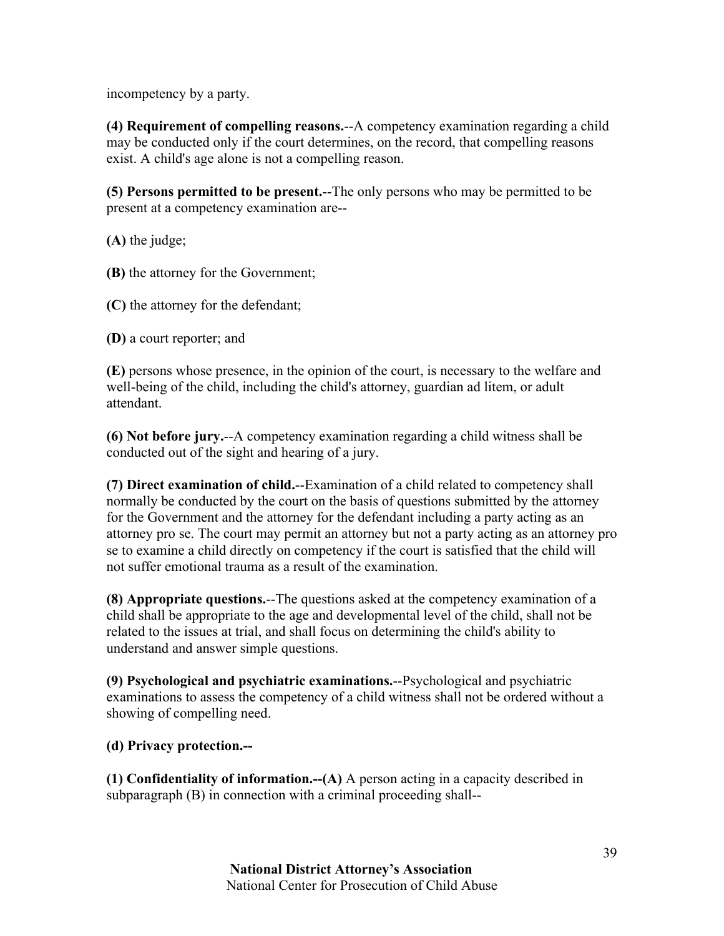incompetency by a party.

**(4) Requirement of compelling reasons.**--A competency examination regarding a child may be conducted only if the court determines, on the record, that compelling reasons exist. A child's age alone is not a compelling reason.

**(5) Persons permitted to be present.**--The only persons who may be permitted to be present at a competency examination are--

**(A)** the judge;

**(B)** the attorney for the Government;

**(C)** the attorney for the defendant;

**(D)** a court reporter; and

**(E)** persons whose presence, in the opinion of the court, is necessary to the welfare and well-being of the child, including the child's attorney, guardian ad litem, or adult attendant.

**(6) Not before jury.**--A competency examination regarding a child witness shall be conducted out of the sight and hearing of a jury.

**(7) Direct examination of child.**--Examination of a child related to competency shall normally be conducted by the court on the basis of questions submitted by the attorney for the Government and the attorney for the defendant including a party acting as an attorney pro se. The court may permit an attorney but not a party acting as an attorney pro se to examine a child directly on competency if the court is satisfied that the child will not suffer emotional trauma as a result of the examination.

**(8) Appropriate questions.**--The questions asked at the competency examination of a child shall be appropriate to the age and developmental level of the child, shall not be related to the issues at trial, and shall focus on determining the child's ability to understand and answer simple questions.

**(9) Psychological and psychiatric examinations.**--Psychological and psychiatric examinations to assess the competency of a child witness shall not be ordered without a showing of compelling need.

#### **(d) Privacy protection.--**

**(1) Confidentiality of information.--(A)** A person acting in a capacity described in subparagraph (B) in connection with a criminal proceeding shall--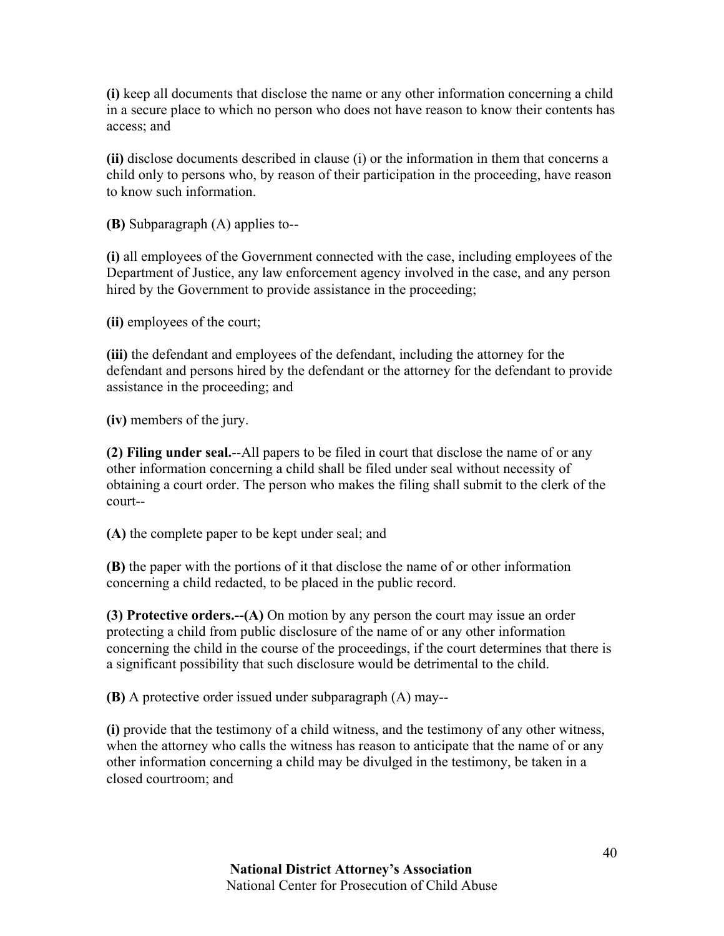**(i)** keep all documents that disclose the name or any other information concerning a child in a secure place to which no person who does not have reason to know their contents has access; and

**(ii)** disclose documents described in clause (i) or the information in them that concerns a child only to persons who, by reason of their participation in the proceeding, have reason to know such information.

**(B)** Subparagraph (A) applies to--

**(i)** all employees of the Government connected with the case, including employees of the Department of Justice, any law enforcement agency involved in the case, and any person hired by the Government to provide assistance in the proceeding;

**(ii)** employees of the court;

**(iii)** the defendant and employees of the defendant, including the attorney for the defendant and persons hired by the defendant or the attorney for the defendant to provide assistance in the proceeding; and

**(iv)** members of the jury.

**(2) Filing under seal.**--All papers to be filed in court that disclose the name of or any other information concerning a child shall be filed under seal without necessity of obtaining a court order. The person who makes the filing shall submit to the clerk of the court--

**(A)** the complete paper to be kept under seal; and

**(B)** the paper with the portions of it that disclose the name of or other information concerning a child redacted, to be placed in the public record.

**(3) Protective orders.--(A)** On motion by any person the court may issue an order protecting a child from public disclosure of the name of or any other information concerning the child in the course of the proceedings, if the court determines that there is a significant possibility that such disclosure would be detrimental to the child.

**(B)** A protective order issued under subparagraph (A) may--

**(i)** provide that the testimony of a child witness, and the testimony of any other witness, when the attorney who calls the witness has reason to anticipate that the name of or any other information concerning a child may be divulged in the testimony, be taken in a closed courtroom; and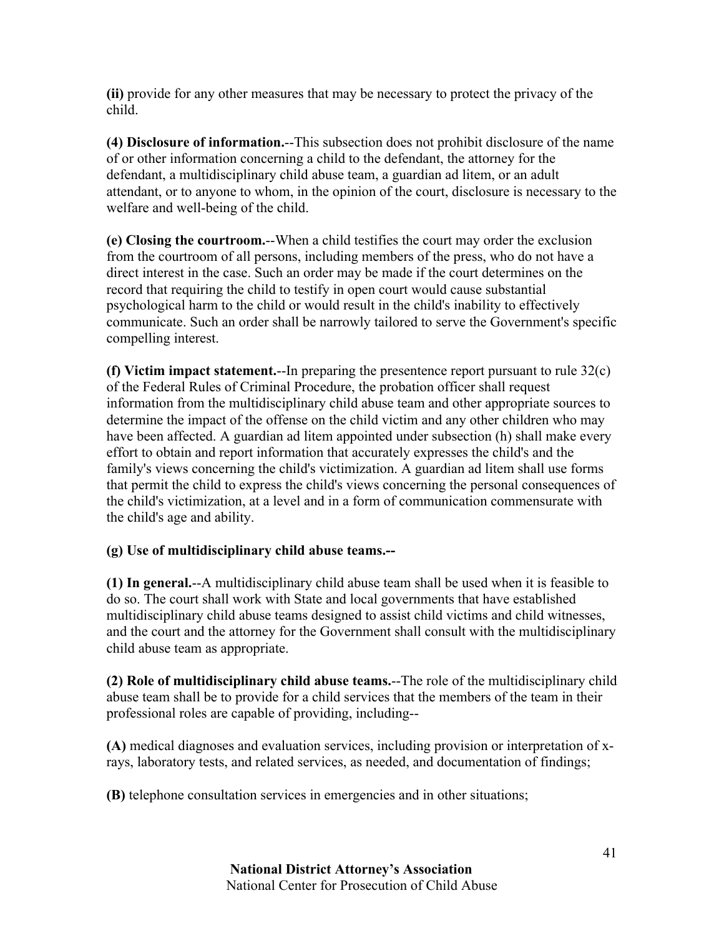**(ii)** provide for any other measures that may be necessary to protect the privacy of the child.

**(4) Disclosure of information.**--This subsection does not prohibit disclosure of the name of or other information concerning a child to the defendant, the attorney for the defendant, a multidisciplinary child abuse team, a guardian ad litem, or an adult attendant, or to anyone to whom, in the opinion of the court, disclosure is necessary to the welfare and well-being of the child.

**(e) Closing the courtroom.**--When a child testifies the court may order the exclusion from the courtroom of all persons, including members of the press, who do not have a direct interest in the case. Such an order may be made if the court determines on the record that requiring the child to testify in open court would cause substantial psychological harm to the child or would result in the child's inability to effectively communicate. Such an order shall be narrowly tailored to serve the Government's specific compelling interest.

**(f) Victim impact statement.**--In preparing the presentence report pursuant to rule 32(c) of the Federal Rules of Criminal Procedure, the probation officer shall request information from the multidisciplinary child abuse team and other appropriate sources to determine the impact of the offense on the child victim and any other children who may have been affected. A guardian ad litem appointed under subsection (h) shall make every effort to obtain and report information that accurately expresses the child's and the family's views concerning the child's victimization. A guardian ad litem shall use forms that permit the child to express the child's views concerning the personal consequences of the child's victimization, at a level and in a form of communication commensurate with the child's age and ability.

#### **(g) Use of multidisciplinary child abuse teams.--**

**(1) In general.**--A multidisciplinary child abuse team shall be used when it is feasible to do so. The court shall work with State and local governments that have established multidisciplinary child abuse teams designed to assist child victims and child witnesses, and the court and the attorney for the Government shall consult with the multidisciplinary child abuse team as appropriate.

**(2) Role of multidisciplinary child abuse teams.**--The role of the multidisciplinary child abuse team shall be to provide for a child services that the members of the team in their professional roles are capable of providing, including--

**(A)** medical diagnoses and evaluation services, including provision or interpretation of xrays, laboratory tests, and related services, as needed, and documentation of findings;

**(B)** telephone consultation services in emergencies and in other situations;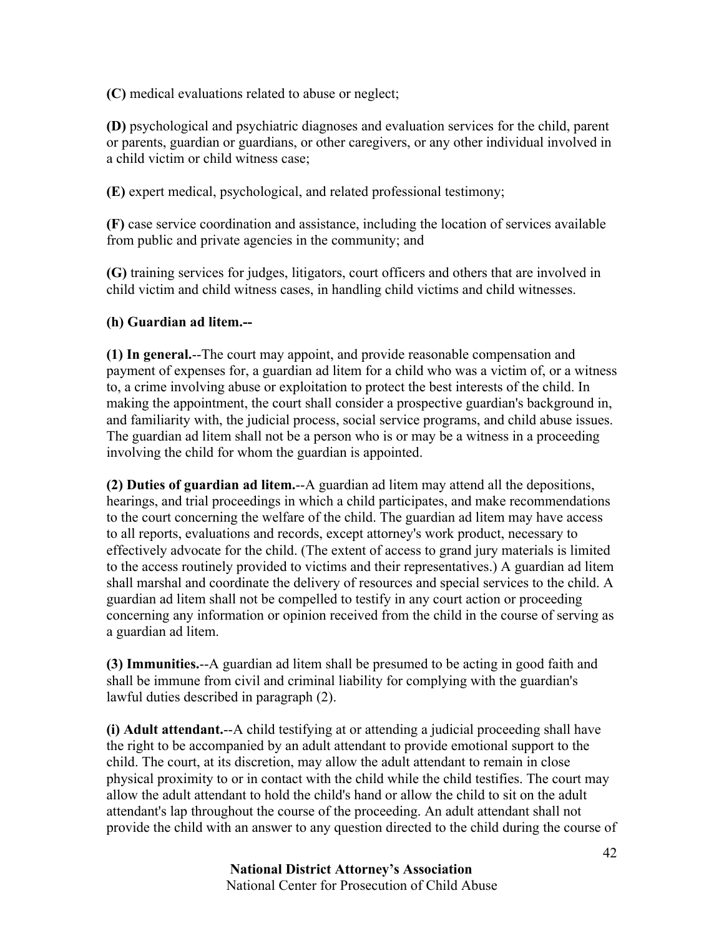**(C)** medical evaluations related to abuse or neglect;

**(D)** psychological and psychiatric diagnoses and evaluation services for the child, parent or parents, guardian or guardians, or other caregivers, or any other individual involved in a child victim or child witness case;

**(E)** expert medical, psychological, and related professional testimony;

**(F)** case service coordination and assistance, including the location of services available from public and private agencies in the community; and

**(G)** training services for judges, litigators, court officers and others that are involved in child victim and child witness cases, in handling child victims and child witnesses.

#### **(h) Guardian ad litem.--**

**(1) In general.**--The court may appoint, and provide reasonable compensation and payment of expenses for, a guardian ad litem for a child who was a victim of, or a witness to, a crime involving abuse or exploitation to protect the best interests of the child. In making the appointment, the court shall consider a prospective guardian's background in, and familiarity with, the judicial process, social service programs, and child abuse issues. The guardian ad litem shall not be a person who is or may be a witness in a proceeding involving the child for whom the guardian is appointed.

**(2) Duties of guardian ad litem.**--A guardian ad litem may attend all the depositions, hearings, and trial proceedings in which a child participates, and make recommendations to the court concerning the welfare of the child. The guardian ad litem may have access to all reports, evaluations and records, except attorney's work product, necessary to effectively advocate for the child. (The extent of access to grand jury materials is limited to the access routinely provided to victims and their representatives.) A guardian ad litem shall marshal and coordinate the delivery of resources and special services to the child. A guardian ad litem shall not be compelled to testify in any court action or proceeding concerning any information or opinion received from the child in the course of serving as a guardian ad litem.

**(3) Immunities.**--A guardian ad litem shall be presumed to be acting in good faith and shall be immune from civil and criminal liability for complying with the guardian's lawful duties described in paragraph (2).

**(i) Adult attendant.**--A child testifying at or attending a judicial proceeding shall have the right to be accompanied by an adult attendant to provide emotional support to the child. The court, at its discretion, may allow the adult attendant to remain in close physical proximity to or in contact with the child while the child testifies. The court may allow the adult attendant to hold the child's hand or allow the child to sit on the adult attendant's lap throughout the course of the proceeding. An adult attendant shall not provide the child with an answer to any question directed to the child during the course of